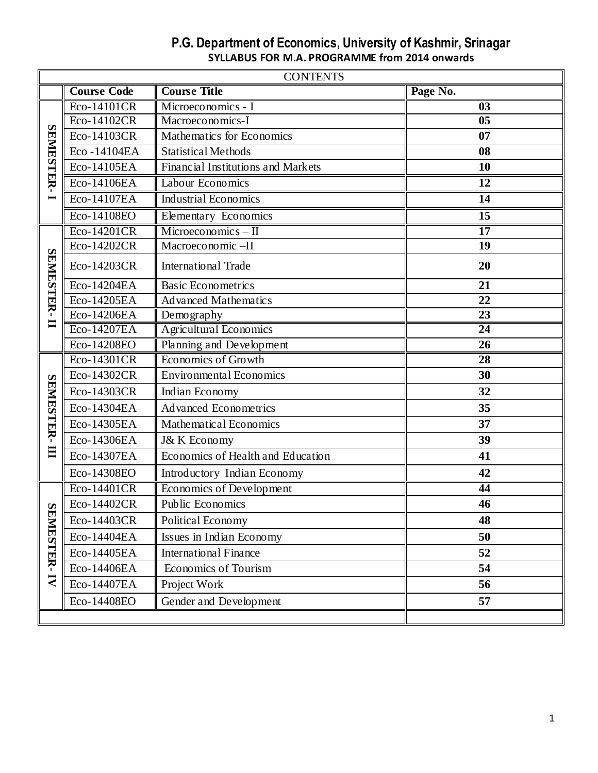|                         | <b>CONTENTS</b>      |                                    |                 |  |  |  |  |
|-------------------------|----------------------|------------------------------------|-----------------|--|--|--|--|
|                         | <b>Course Code</b>   | <b>Course Title</b>                | Page No.        |  |  |  |  |
|                         | Eco-14101CR          | Microeconomics - I                 | 03              |  |  |  |  |
|                         | Eco-14102CR          | Macroeconomics-I                   | 0 <sub>5</sub>  |  |  |  |  |
|                         | Eco-14103CR          | Mathematics for Economics          | 07              |  |  |  |  |
|                         | Eco-14104EA          | <b>Statistical Methods</b>         | 08              |  |  |  |  |
|                         | Eco-14105EA          | Financial Institutions and Markets | 10              |  |  |  |  |
| <b>SEMESTER-</b>        | Eco-14106EA          | Labour Economics                   | 12              |  |  |  |  |
|                         | Eco-14107EA          | <b>Industrial Economics</b>        | 14              |  |  |  |  |
|                         | Eco-14108EO          | Elementary Economics               | 15              |  |  |  |  |
|                         | Eco-14201CR          | $Microeconomics - II$              | $\overline{17}$ |  |  |  |  |
|                         | Eco-14202CR          | Macroeconomic-II                   | 19              |  |  |  |  |
| SEMESTER-               | Eco-14203CR          | <b>International Trade</b>         | 20              |  |  |  |  |
|                         | Eco-14204EA          | Basic Econometrics                 | 21              |  |  |  |  |
|                         | Eco-14205EA          | <b>Advanced Mathematics</b>        | 22              |  |  |  |  |
|                         | Eco-14206EA          | Demography                         | $\overline{23}$ |  |  |  |  |
| $\blacksquare$          | Eco-14207EA          | <b>Agricultural Economics</b>      | $\overline{24}$ |  |  |  |  |
|                         | Eco-14208EO          | Planning and Development           | $\overline{26}$ |  |  |  |  |
|                         | Eco-14301CR          | Economics of Growth                | 28              |  |  |  |  |
| <b>SEMESTER-</b>        | Eco-14302CR          | <b>Environmental Economics</b>     | 30              |  |  |  |  |
|                         | Eco-14303CR          | Indian Economy                     | 32              |  |  |  |  |
|                         | Eco-14304EA          | <b>Advanced Econometrics</b>       | 35              |  |  |  |  |
|                         | Eco-14305EA          | Mathematical Economics             | 37              |  |  |  |  |
|                         | Eco-14306EA          | J& K Economy                       | 39              |  |  |  |  |
| $\blacksquare$          | Eco-14307EA          | Economics of Health and Education  | 41              |  |  |  |  |
|                         | Eco-14308EO          | Introductory Indian Economy        | 42              |  |  |  |  |
|                         | Eco-14401CR          | Economics of Development           | 44              |  |  |  |  |
|                         | $\alpha$ Eco-14402CR | Public Economics                   | 46              |  |  |  |  |
|                         | Eco-14403CR          | Political Economy                  | 48              |  |  |  |  |
|                         | Eco-14404EA          | Issues in Indian Economy           | 50              |  |  |  |  |
| EMESTER-                | Eco-14405EA          | <b>International Finance</b>       | 52              |  |  |  |  |
|                         | Eco-14406EA          | Economics of Tourism               | 54              |  |  |  |  |
| $\overline{\mathbf{N}}$ | Eco-14407EA          | Project Work                       | 56              |  |  |  |  |
|                         | Eco-14408EO          | Gender and Development             | 57              |  |  |  |  |
|                         |                      |                                    |                 |  |  |  |  |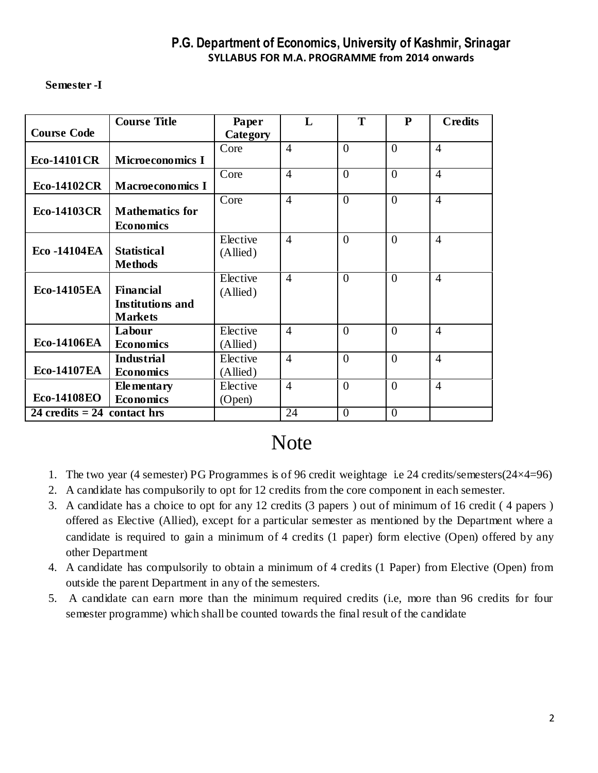#### **Semester -I**

|                               | <b>Course Title</b>     | Paper    | L              | T        | $\mathbf{P}$   | <b>Credits</b> |
|-------------------------------|-------------------------|----------|----------------|----------|----------------|----------------|
| <b>Course Code</b>            |                         | Category |                |          |                |                |
|                               |                         | Core     | $\overline{4}$ | $\theta$ | $\theta$       | $\overline{4}$ |
| <b>Eco-14101CR</b>            | <b>Microeconomics I</b> |          |                |          |                |                |
|                               |                         | Core     | $\overline{4}$ | $\theta$ | $\theta$       | $\overline{4}$ |
| <b>Eco-14102CR</b>            | <b>Macroeconomics I</b> |          |                |          |                |                |
|                               |                         | Core     | $\overline{4}$ | $\theta$ | $\overline{0}$ | $\overline{4}$ |
| <b>Eco-14103CR</b>            | <b>Mathematics for</b>  |          |                |          |                |                |
|                               | <b>Economics</b>        |          |                |          |                |                |
|                               |                         | Elective | $\overline{4}$ | $\theta$ | $\Omega$       | $\overline{4}$ |
| <b>Eco-14104EA</b>            | <b>Statistical</b>      | (Allied) |                |          |                |                |
|                               | <b>Methods</b>          |          |                |          |                |                |
|                               |                         | Elective | $\overline{4}$ | $\theta$ | $\overline{0}$ | $\overline{4}$ |
| <b>Eco-14105EA</b>            | <b>Financial</b>        | (Allied) |                |          |                |                |
|                               | <b>Institutions and</b> |          |                |          |                |                |
|                               | <b>Markets</b>          |          |                |          |                |                |
|                               | Labour                  | Elective | $\overline{4}$ | $\theta$ | $\theta$       | $\overline{4}$ |
| <b>Eco-14106EA</b>            | <b>Economics</b>        | (Allied) |                |          |                |                |
|                               | <b>Industrial</b>       | Elective | $\overline{4}$ | $\theta$ | $\theta$       | $\overline{4}$ |
| <b>Eco-14107EA</b>            | <b>Economics</b>        | (Allied) |                |          |                |                |
|                               | <b>Ele</b> mentary      | Elective | $\overline{4}$ | $\theta$ | $\theta$       | $\overline{4}$ |
| <b>Eco-14108EO</b>            | <b>Economics</b>        | (Open)   |                |          |                |                |
| 24 credits $= 24$ contact hrs |                         |          | 24             | $\theta$ | $\theta$       |                |

# **Note**

- 1. The two year (4 semester) PG Programmes is of 96 credit weightage i.e 24 credits/semesters(24×4=96)
- 2. A candidate has compulsorily to opt for 12 credits from the core component in each semester.
- 3. A candidate has a choice to opt for any 12 credits (3 papers ) out of minimum of 16 credit ( 4 papers ) offered as Elective (Allied), except for a particular semester as mentioned by the Department where a candidate is required to gain a minimum of 4 credits (1 paper) form elective (Open) offered by any other Department
- 4. A candidate has compulsorily to obtain a minimum of 4 credits (1 Paper) from Elective (Open) from outside the parent Department in any of the semesters.
- 5. A candidate can earn more than the minimum required credits (i.e, more than 96 credits for four semester programme) which shall be counted towards the final result of the candidate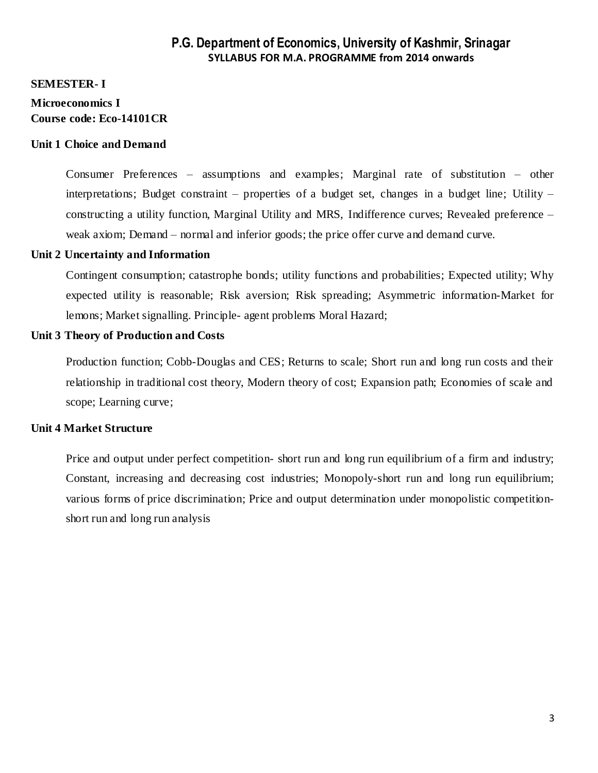#### **SEMESTER- I**

### **Microeconomics I Course code: Eco-14101CR**

#### **Unit 1 Choice and Demand**

Consumer Preferences – assumptions and examples; Marginal rate of substitution – other interpretations; Budget constraint – properties of a budget set, changes in a budget line; Utility – constructing a utility function, Marginal Utility and MRS, Indifference curves; Revealed preference – weak axiom; Demand – normal and inferior goods; the price offer curve and demand curve.

#### **Unit 2 Uncertainty and Information**

Contingent consumption; catastrophe bonds; utility functions and probabilities; Expected utility; Why expected utility is reasonable; Risk aversion; Risk spreading; Asymmetric information-Market for lemons; Market signalling. Principle- agent problems Moral Hazard;

#### **Unit 3 Theory of Production and Costs**

Production function; Cobb-Douglas and CES; Returns to scale; Short run and long run costs and their relationship in traditional cost theory, Modern theory of cost; Expansion path; Economies of scale and scope; Learning curve;

#### **Unit 4 Market Structure**

Price and output under perfect competition- short run and long run equilibrium of a firm and industry; Constant, increasing and decreasing cost industries; Monopoly-short run and long run equilibrium; various forms of price discrimination; Price and output determination under monopolistic competitionshort run and long run analysis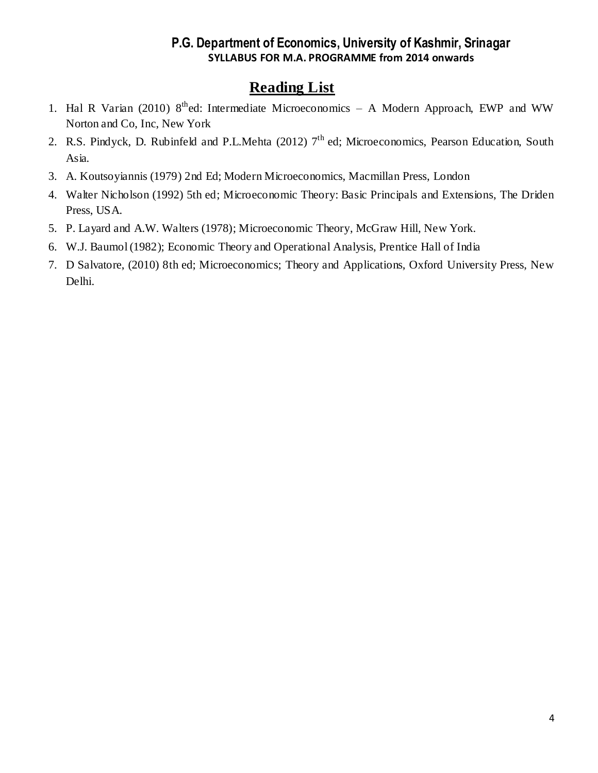- 1. Hal R Varian (2010) 8<sup>th</sup>ed: Intermediate Microeconomics A Modern Approach, EWP and WW Norton and Co, Inc, New York
- 2. R.S. Pindyck, D. Rubinfeld and P.L.Mehta (2012) 7<sup>th</sup> ed; Microeconomics, Pearson Education, South Asia.
- 3. A. Koutsoyiannis (1979) 2nd Ed; Modern Microeconomics, Macmillan Press, London
- 4. Walter Nicholson (1992) 5th ed; Microeconomic Theory: Basic Principals and Extensions, The Driden Press, USA.
- 5. P. Layard and A.W. Walters (1978); Microeconomic Theory, McGraw Hill, New York.
- 6. W.J. Baumol (1982); Economic Theory and Operational Analysis, Prentice Hall of India
- 7. D Salvatore, (2010) 8th ed; Microeconomics; Theory and Applications, Oxford University Press, New Delhi.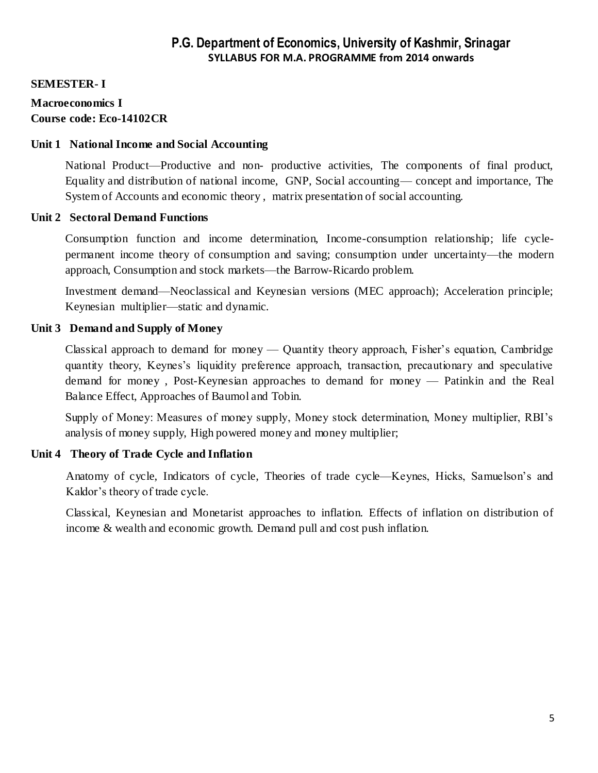#### **SEMESTER- I**

#### **Macroeconomics I Course code: Eco-14102CR**

#### **Unit 1 National Income and Social Accounting**

National Product—Productive and non- productive activities, The components of final product, Equality and distribution of national income, GNP, Social accounting— concept and importance, The System of Accounts and economic theory , matrix presentation of social accounting.

#### **Unit 2 Sectoral Demand Functions**

Consumption function and income determination, Income-consumption relationship; life cyclepermanent income theory of consumption and saving; consumption under uncertainty—the modern approach, Consumption and stock markets—the Barrow-Ricardo problem.

Investment demand—Neoclassical and Keynesian versions (MEC approach); Acceleration principle; Keynesian multiplier—static and dynamic.

#### **Unit 3 Demand and Supply of Money**

Classical approach to demand for money — Quantity theory approach, Fisher's equation, Cambridge quantity theory, Keynes's liquidity preference approach, transaction, precautionary and speculative demand for money , Post-Keynesian approaches to demand for money — Patinkin and the Real Balance Effect, Approaches of Baumol and Tobin.

Supply of Money: Measures of money supply, Money stock determination, Money multiplier, RBI's analysis of money supply, High powered money and money multiplier;

#### **Unit 4 Theory of Trade Cycle and Inflation**

Anatomy of cycle, Indicators of cycle, Theories of trade cycle—Keynes, Hicks, Samuelson's and Kaldor's theory of trade cycle.

Classical, Keynesian and Monetarist approaches to inflation. Effects of inflation on distribution of income & wealth and economic growth. Demand pull and cost push inflation.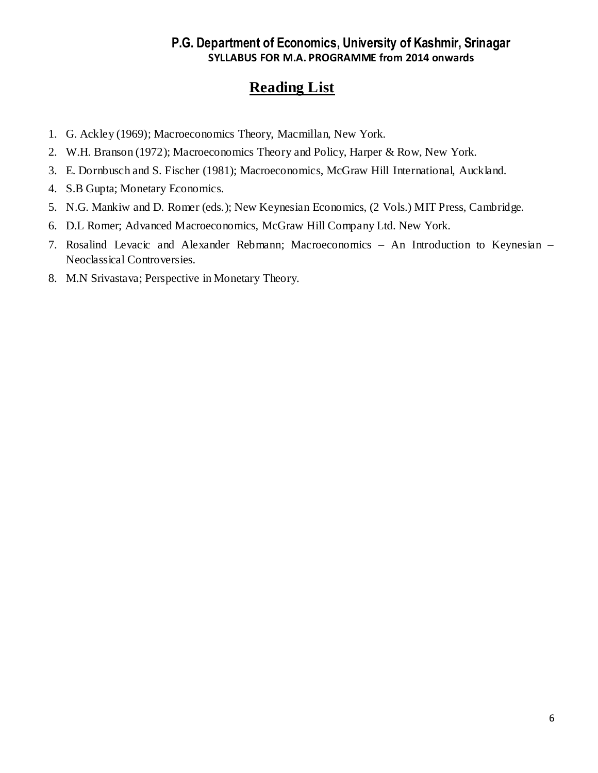- 1. G. Ackley (1969); Macroeconomics Theory, Macmillan, New York.
- 2. W.H. Branson (1972); Macroeconomics Theory and Policy, Harper & Row, New York.
- 3. E. Dornbusch and S. Fischer (1981); Macroeconomics, McGraw Hill International, Auckland.
- 4. S.B Gupta; Monetary Economics.
- 5. N.G. Mankiw and D. Romer (eds.); New Keynesian Economics, (2 Vols.) MIT Press, Cambridge.
- 6. D.L Romer; Advanced Macroeconomics, McGraw Hill Company Ltd. New York.
- 7. Rosalind Levacic and Alexander Rebmann; Macroeconomics An Introduction to Keynesian Neoclassical Controversies.
- 8. M.N Srivastava; Perspective in Monetary Theory.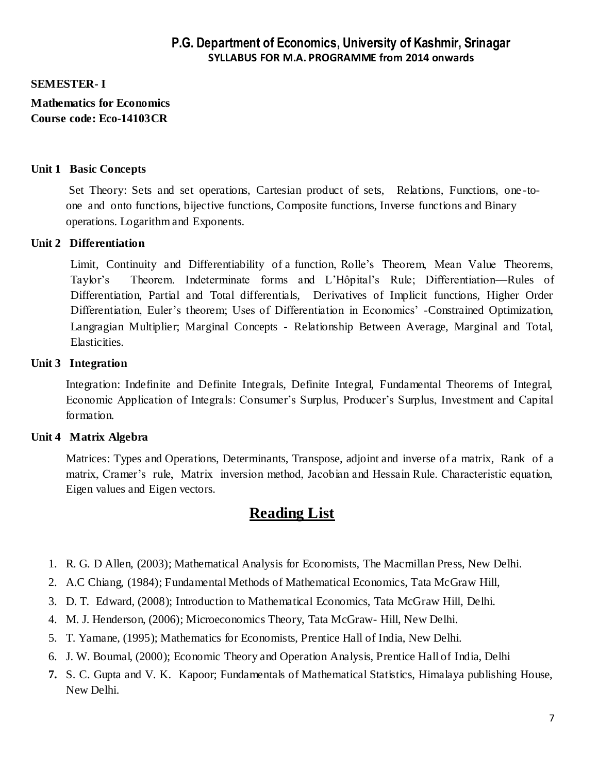#### **SEMESTER- I**

**Mathematics for Economics Course code: Eco-14103CR**

#### **Unit 1 Basic Concepts**

 Set Theory: Sets and set operations, Cartesian product of sets, Relations, Functions, one -toone and onto functions, bijective functions, Composite functions, Inverse functions and Binary operations. Logarithm and Exponents.

#### **Unit 2 Differentiation**

Limit, Continuity and Differentiability of a function, Rolle's Theorem, Mean Value Theorems, Taylor's Theorem. Indeterminate forms and L'Hôpital's Rule; Differentiation—Rules of Differentiation, Partial and Total differentials, Derivatives of Implicit functions, Higher Order Differentiation, Euler's theorem; Uses of Differentiation in Economics' -Constrained Optimization, Langragian Multiplier; Marginal Concepts - Relationship Between Average, Marginal and Total, Elasticities.

#### **Unit 3 Integration**

Integration: Indefinite and Definite Integrals, Definite Integral, Fundamental Theorems of Integral, Economic Application of Integrals: Consumer's Surplus, Producer's Surplus, Investment and Capital formation.

#### **Unit 4 Matrix Algebra**

 Matrices: Types and Operations, Determinants, Transpose, adjoint and inverse of a matrix, Rank of a matrix, Cramer's rule, Matrix inversion method, Jacobian and Hessain Rule. Characteristic equation, Eigen values and Eigen vectors.

- 1. R. G. D Allen, (2003); Mathematical Analysis for Economists, The Macmillan Press, New Delhi.
- 2. A.C Chiang, (1984); Fundamental Methods of Mathematical Economics, Tata McGraw Hill,
- 3. D. T. Edward, (2008); Introduction to Mathematical Economics, Tata McGraw Hill, Delhi.
- 4. M. J. Henderson, (2006); Microeconomics Theory, Tata McGraw- Hill, New Delhi.
- 5. T. Yamane, (1995); Mathematics for Economists, Prentice Hall of India, New Delhi.
- 6. J. W. Boumal, (2000); Economic Theory and Operation Analysis, Prentice Hall of India, Delhi
- **7.** S. C. Gupta and V. K. Kapoor; Fundamentals of Mathematical Statistics, Himalaya publishing House, New Delhi.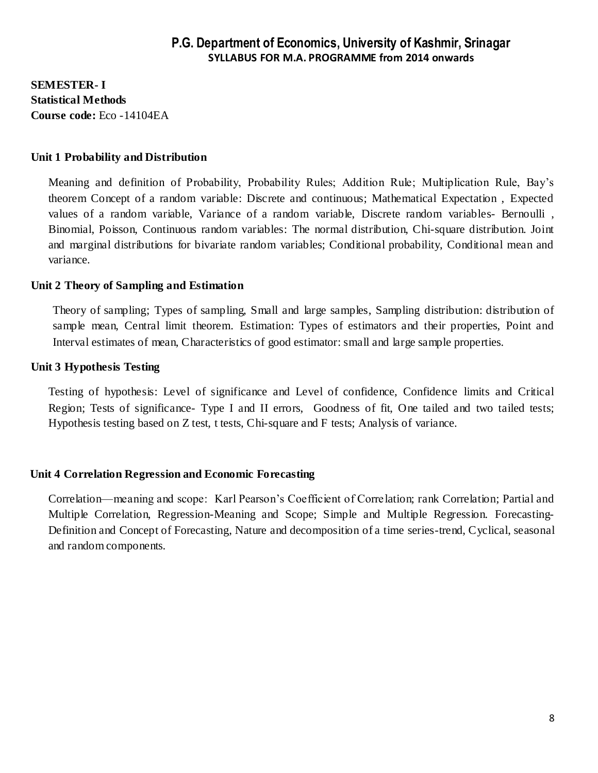**SEMESTER- I Statistical Methods Course code:** Eco -14104EA

#### **Unit 1 Probability and Distribution**

Meaning and definition of Probability, Probability Rules; Addition Rule; Multiplication Rule, Bay's theorem Concept of a random variable: Discrete and continuous; Mathematical Expectation , Expected values of a random variable, Variance of a random variable, Discrete random variables- Bernoulli , Binomial, Poisson, Continuous random variables: The normal distribution, Chi-square distribution. Joint and marginal distributions for bivariate random variables; Conditional probability, Conditional mean and variance.

#### **Unit 2 Theory of Sampling and Estimation**

Theory of sampling; Types of sampling, Small and large samples, Sampling distribution: distribution of sample mean, Central limit theorem. Estimation: Types of estimators and their properties, Point and Interval estimates of mean, Characteristics of good estimator: small and large sample properties.

#### **Unit 3 Hypothesis Testing**

Testing of hypothesis: Level of significance and Level of confidence, Confidence limits and Critical Region; Tests of significance- Type I and II errors, Goodness of fit, One tailed and two tailed tests; Hypothesis testing based on Z test, t tests, Chi-square and F tests; Analysis of variance.

#### **Unit 4 Correlation Regression and Economic Forecasting**

Correlation—meaning and scope: Karl Pearson's Coefficient of Correlation; rank Correlation; Partial and Multiple Correlation, Regression-Meaning and Scope; Simple and Multiple Regression. Forecasting-Definition and Concept of Forecasting, Nature and decomposition of a time series-trend, Cyclical, seasonal and random components.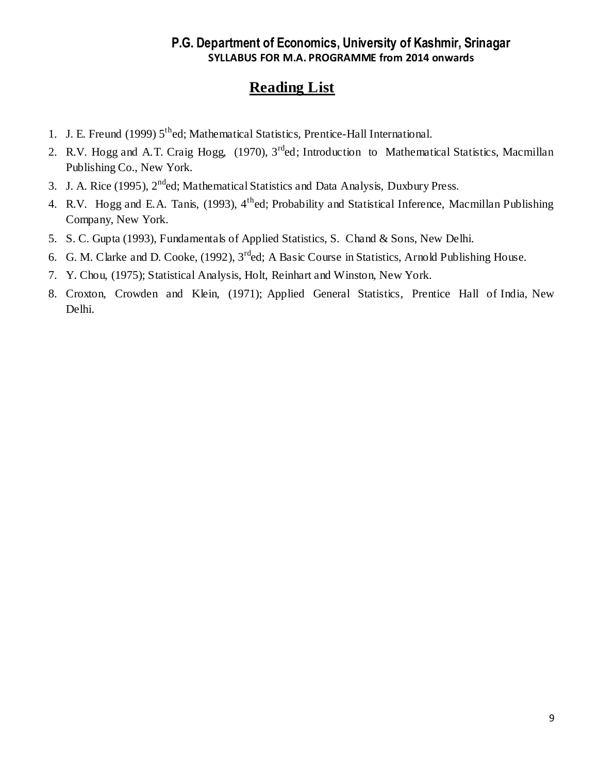- 1. J. E. Freund (1999)  $5<sup>th</sup>$ ed; Mathematical Statistics, Prentice-Hall International.
- 2. R.V. Hogg and A.T. Craig Hogg, (1970), 3<sup>rd</sup>ed; Introduction to Mathematical Statistics, Macmillan Publishing Co., New York.
- 3. J. A. Rice (1995), 2<sup>nd</sup>ed; Mathematical Statistics and Data Analysis, Duxbury Press.
- 4. R.V. Hogg and E.A. Tanis, (1993), 4<sup>th</sup>ed; Probability and Statistical Inference, Macmillan Publishing Company, New York.
- 5. S. C. Gupta (1993), Fundamentals of Applied Statistics, S. Chand & Sons, New Delhi.
- 6. G. M. Clarke and D. Cooke, (1992), 3rded; A Basic Course in Statistics, Arnold Publishing House.
- 7. Y. Chou, (1975); Statistical Analysis, Holt, Reinhart and Winston, New York.
- 8. Croxton, Crowden and Klein, (1971); Applied General Statistics, Prentice Hall of India, New Delhi.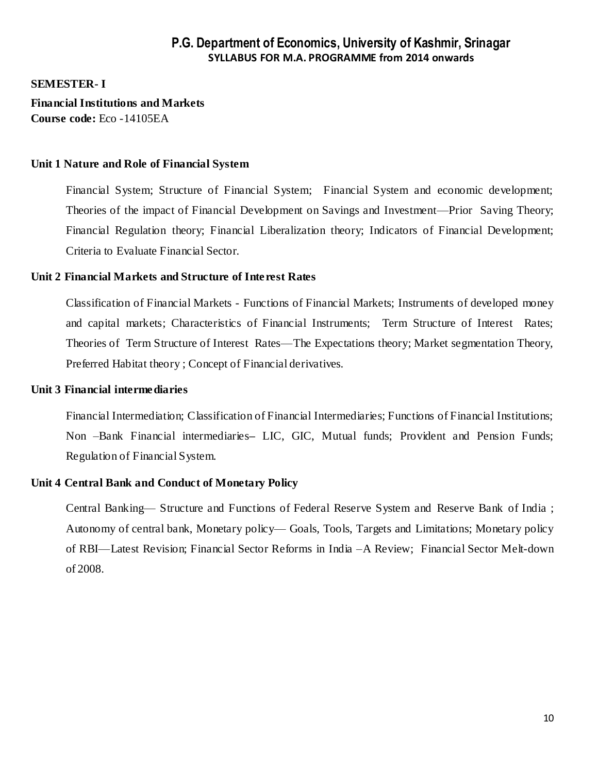**SEMESTER- I** 

**Financial Institutions and Markets Course code:** Eco -14105EA

#### **Unit 1 Nature and Role of Financial System**

Financial System; Structure of Financial System; Financial System and economic development; Theories of the impact of Financial Development on Savings and Investment—Prior Saving Theory; Financial Regulation theory; Financial Liberalization theory; Indicators of Financial Development; Criteria to Evaluate Financial Sector.

#### **Unit 2 Financial Markets and Structure of Interest Rates**

Classification of Financial Markets - Functions of Financial Markets; Instruments of developed money and capital markets; Characteristics of Financial Instruments; Term Structure of Interest Rates; Theories of Term Structure of Interest Rates—The Expectations theory; Market segmentation Theory, Preferred Habitat theory ; Concept of Financial derivatives.

#### **Unit 3 Financial intermediaries**

Financial Intermediation; Classification of Financial Intermediaries; Functions of Financial Institutions; Non –Bank Financial intermediaries**–** LIC, GIC, Mutual funds; Provident and Pension Funds; Regulation of Financial System.

#### **Unit 4 Central Bank and Conduct of Monetary Policy**

Central Banking— Structure and Functions of Federal Reserve System and Reserve Bank of India ; Autonomy of central bank, Monetary policy— Goals, Tools, Targets and Limitations; Monetary policy of RBI—Latest Revision; Financial Sector Reforms in India –A Review; Financial Sector Melt-down of 2008.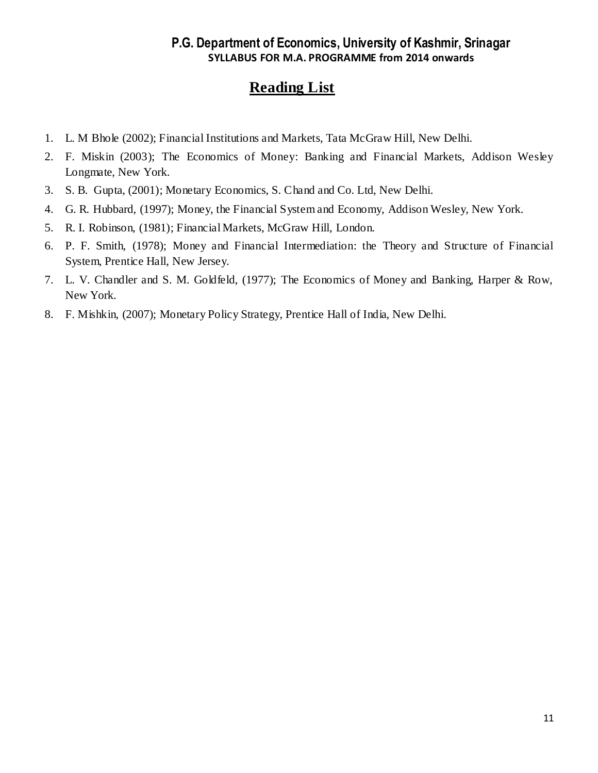- 1. L. M Bhole (2002); Financial Institutions and Markets, Tata McGraw Hill, New Delhi.
- 2. F. Miskin (2003); The Economics of Money: Banking and Financial Markets, Addison Wesley Longmate, New York.
- 3. S. B. Gupta, (2001); Monetary Economics, S. Chand and Co. Ltd, New Delhi.
- 4. G. R. Hubbard, (1997); Money, the Financial System and Economy, Addison Wesley, New York.
- 5. R. I. Robinson, (1981); Financial Markets, McGraw Hill, London.
- 6. P. F. Smith, (1978); Money and Financial Intermediation: the Theory and Structure of Financial System, Prentice Hall, New Jersey.
- 7. L. V. Chandler and S. M. Goldfeld, (1977); The Economics of Money and Banking, Harper & Row, New York.
- 8. F. Mishkin, (2007); Monetary Policy Strategy, Prentice Hall of India, New Delhi.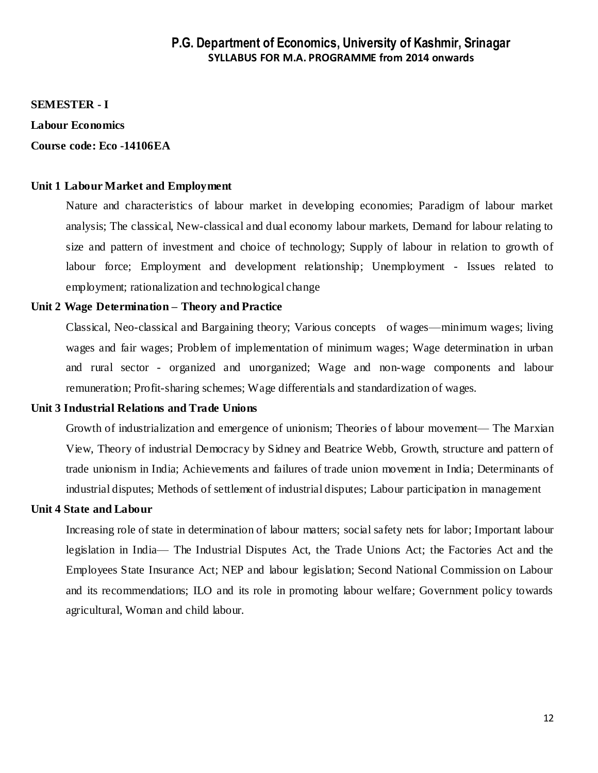#### **SEMESTER - I**

#### **Labour Economics**

#### **Course code: Eco -14106EA**

#### **Unit 1 Labour Market and Employment**

Nature and characteristics of labour market in developing economies; Paradigm of labour market analysis; The classical, New-classical and dual economy labour markets, Demand for labour relating to size and pattern of investment and choice of technology; Supply of labour in relation to growth of labour force; Employment and development relationship; Unemployment - Issues related to employment; rationalization and technological change

#### **Unit 2 Wage Determination – Theory and Practice**

Classical, Neo-classical and Bargaining theory; Various concepts of wages—minimum wages; living wages and fair wages; Problem of implementation of minimum wages; Wage determination in urban and rural sector - organized and unorganized; Wage and non-wage components and labour remuneration; Profit-sharing schemes; Wage differentials and standardization of wages.

#### **Unit 3 Industrial Relations and Trade Unions**

Growth of industrialization and emergence of unionism; Theories of labour movement— The Marxian View, Theory of industrial Democracy by Sidney and Beatrice Webb, Growth, structure and pattern of trade unionism in India; Achievements and failures of trade union movement in India; Determinants of industrial disputes; Methods of settlement of industrial disputes; Labour participation in management

#### **Unit 4 State and Labour**

Increasing role of state in determination of labour matters; social safety nets for labor; Important labour legislation in India— The Industrial Disputes Act, the Trade Unions Act; the Factories Act and the Employees State Insurance Act; NEP and labour legislation; Second National Commission on Labour and its recommendations; ILO and its role in promoting labour welfare; Government policy towards agricultural, Woman and child labour.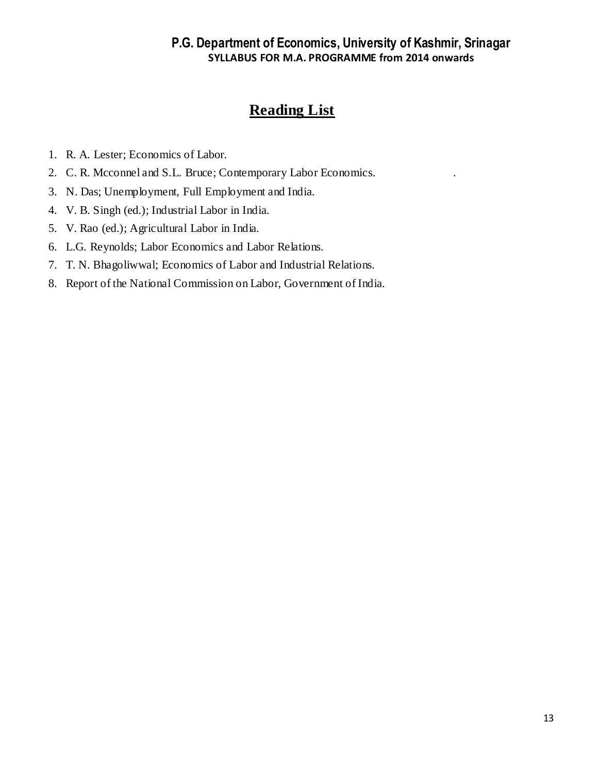- 1. R. A. Lester; Economics of Labor.
- 2. C. R. Mcconnel and S.L. Bruce; Contemporary Labor Economics. .
- 3. N. Das; Unemployment, Full Employment and India.
- 4. V. B. Singh (ed.); Industrial Labor in India.
- 5. V. Rao (ed.); Agricultural Labor in India.
- 6. L.G. Reynolds; Labor Economics and Labor Relations.
- 7. T. N. Bhagoliwwal; Economics of Labor and Industrial Relations.
- 8. Report of the National Commission on Labor, Government of India.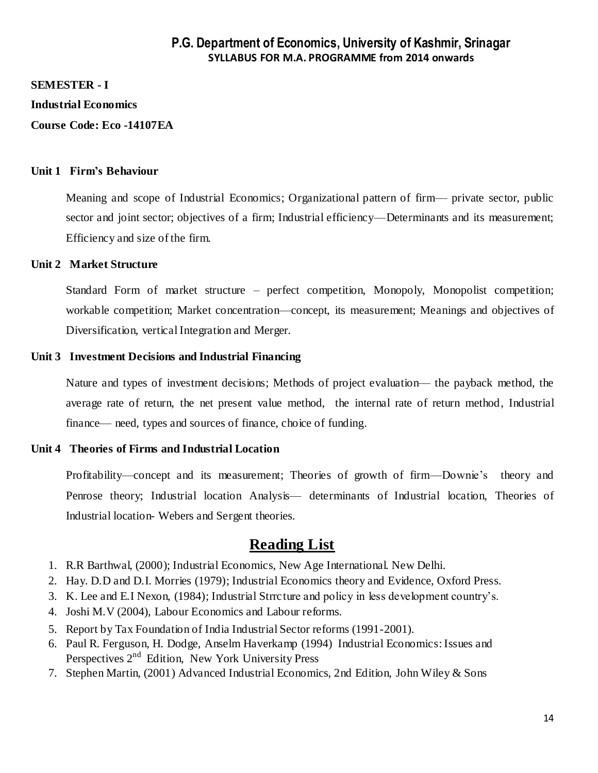#### **SEMESTER - I**

#### **Industrial Economics**

**Course Code: Eco -14107EA**

#### **Unit 1 Firm's Behaviour**

Meaning and scope of Industrial Economics; Organizational pattern of firm— private sector, public sector and joint sector; objectives of a firm; Industrial efficiency—Determinants and its measurement; Efficiency and size of the firm.

#### **Unit 2 Market Structure**

Standard Form of market structure – perfect competition, Monopoly, Monopolist competition; workable competition; Market concentration—concept, its measurement; Meanings and objectives of Diversification, vertical Integration and Merger.

#### **Unit 3 Investment Decisions and Industrial Financing**

Nature and types of investment decisions; Methods of project evaluation— the payback method, the average rate of return, the net present value method, the internal rate of return method, Industrial finance— need, types and sources of finance, choice of funding.

#### **Unit 4 Theories of Firms and Industrial Location**

Profitability—concept and its measurement; Theories of growth of firm—Downie's theory and Penrose theory; Industrial location Analysis— determinants of Industrial location, Theories of Industrial location- Webers and Sergent theories.

- 1. R.R Barthwal, (2000); Industrial Economics, New Age International. New Delhi.
- 2. Hay. D.D and D.I. Morries (1979); Industrial Economics theory and Evidence, Oxford Press.
- 3. K. Lee and E.I Nexon, (1984); Industrial Strrcture and policy in less development country's.
- 4. Joshi M.V (2004), Labour Economics and Labour reforms.
- 5. Report by Tax Foundation of India Industrial Sector reforms (1991-2001).
- 6. [Paul R. Ferguson,](http://www.flipkart.com/author/paul-r-ferguson) [H. Dodge,](http://www.flipkart.com/author/h-dodge) [Anselm Haverkamp](http://www.flipkart.com/author/anselm-haverkamp) (1994) Industrial Economics: Issues and Perspectives 2<sup>nd</sup> Edition, New York University Press
- 7. [Stephen](http://www.flipkart.com/author/stephen-martin) Martin, (2001) Advanced Industrial Economics, 2nd Edition, John Wiley & Sons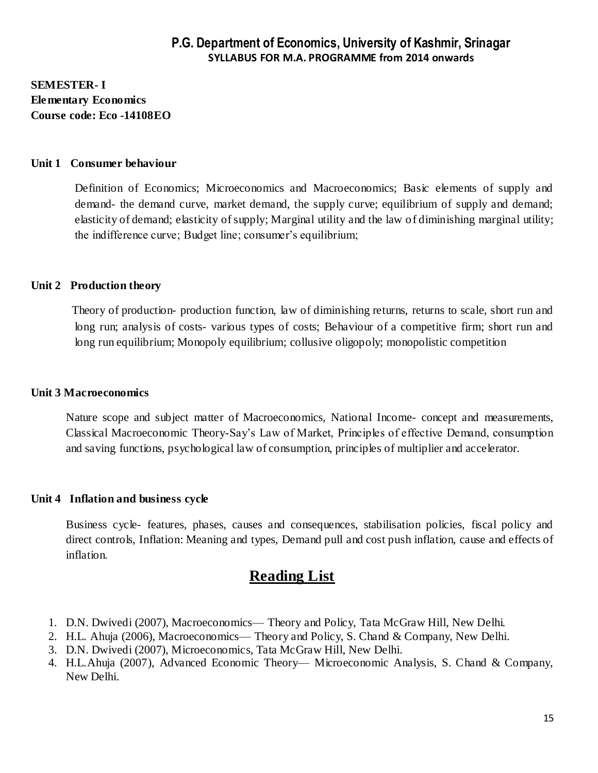## **SEMESTER- I Elementary Economics Course code: Eco -14108EO**

#### **Unit 1 Consumer behaviour**

Definition of Economics; Microeconomics and Macroeconomics; Basic elements of supply and demand- the demand curve, market demand, the supply curve; equilibrium of supply and demand; elasticity of demand; elasticity of supply; Marginal utility and the law of diminishing marginal utility; the indifference curve; Budget line; consumer's equilibrium;

#### **Unit 2 Production theory**

 Theory of production- production function, law of diminishing returns, returns to scale, short run and long run; analysis of costs- various types of costs; Behaviour of a competitive firm; short run and long run equilibrium; Monopoly equilibrium; collusive oligopoly; monopolistic competition

#### **Unit 3 Macroeconomics**

Nature scope and subject matter of Macroeconomics, National Income- concept and measurements, Classical Macroeconomic Theory-Say's Law of Market, Principles of effective Demand, consumption and saving functions, psychological law of consumption, principles of multiplier and accelerator.

#### **Unit 4 Inflation and business cycle**

Business cycle- features, phases, causes and consequences, stabilisation policies, fiscal policy and direct controls, Inflation: Meaning and types, Demand pull and cost push inflation, cause and effects of inflation.

- 1. D.N. Dwivedi (2007), Macroeconomics— Theory and Policy, Tata McGraw Hill, New Delhi.
- 2. H.L. Ahuja (2006), Macroeconomics— Theory and Policy, S. Chand & Company, New Delhi.
- 3. D.N. Dwivedi (2007), Microeconomics, Tata McGraw Hill, New Delhi.
- 4. H.L.Ahuja (2007), Advanced Economic Theory— Microeconomic Analysis, S. Chand & Company, New Delhi.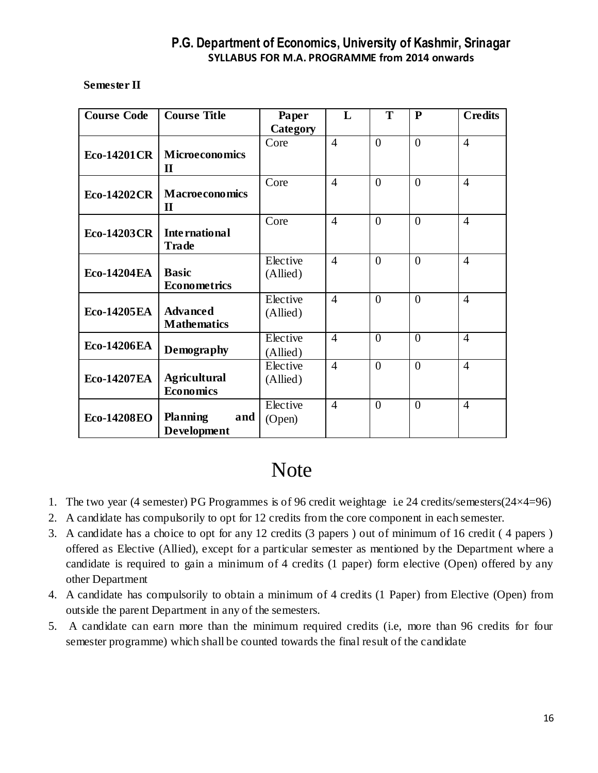#### **Semester II**

| <b>Course Code</b> | <b>Course Title</b>                     | Paper                | L              | T              | $\mathbf{P}$   | <b>Credits</b> |
|--------------------|-----------------------------------------|----------------------|----------------|----------------|----------------|----------------|
|                    |                                         | Category             |                |                |                |                |
| <b>Eco-14201CR</b> | <b>Microeconomics</b><br>$\mathbf{I}$   | Core                 | $\overline{4}$ | $\overline{0}$ | $\theta$       | $\overline{4}$ |
| <b>Eco-14202CR</b> | <b>Macroeconomics</b><br>$\mathbf H$    | Core                 | $\overline{4}$ | $\overline{0}$ | $\theta$       | $\overline{4}$ |
| <b>Eco-14203CR</b> | International<br><b>Trade</b>           | Core                 | $\overline{4}$ | $\overline{0}$ | $\overline{0}$ | $\overline{4}$ |
| <b>Eco-14204EA</b> | <b>Basic</b><br>Econometrics            | Elective<br>(Allied) | $\overline{4}$ | $\theta$       | $\Omega$       | $\overline{4}$ |
| <b>Eco-14205EA</b> | <b>Advanced</b><br><b>Mathematics</b>   | Elective<br>(Allied) | $\overline{4}$ | $\overline{0}$ | $\overline{0}$ | $\overline{4}$ |
| <b>Eco-14206EA</b> | Demography                              | Elective<br>(Allied) | $\overline{4}$ | $\theta$       | $\theta$       | $\overline{4}$ |
| <b>Eco-14207EA</b> | <b>Agricultural</b><br><b>Economics</b> | Elective<br>(Allied) | $\overline{4}$ | $\overline{0}$ | $\theta$       | $\overline{4}$ |
| <b>Eco-14208EO</b> | <b>Planning</b><br>and<br>Development   | Elective<br>(Open)   | $\overline{4}$ | $\overline{0}$ | $\overline{0}$ | $\overline{4}$ |

# **Note**

- 1. The two year (4 semester) PG Programmes is of 96 credit weightage i.e 24 credits/semesters(24×4=96)
- 2. A candidate has compulsorily to opt for 12 credits from the core component in each semester.
- 3. A candidate has a choice to opt for any 12 credits (3 papers ) out of minimum of 16 credit ( 4 papers ) offered as Elective (Allied), except for a particular semester as mentioned by the Department where a candidate is required to gain a minimum of 4 credits (1 paper) form elective (Open) offered by any other Department
- 4. A candidate has compulsorily to obtain a minimum of 4 credits (1 Paper) from Elective (Open) from outside the parent Department in any of the semesters.
- 5. A candidate can earn more than the minimum required credits (i.e, more than 96 credits for four semester programme) which shall be counted towards the final result of the candidate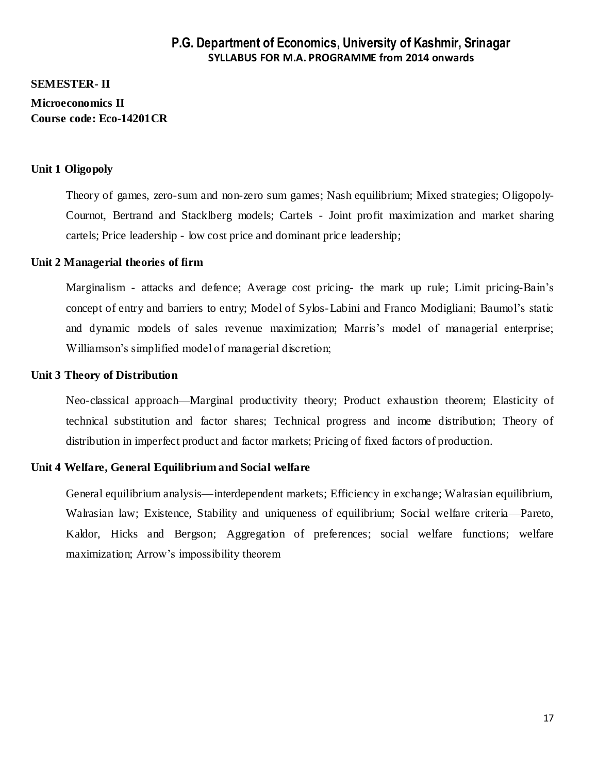## **SEMESTER- II Microeconomics II Course code: Eco-14201CR**

#### **Unit 1 Oligopoly**

Theory of games, zero-sum and non-zero sum games; Nash equilibrium; Mixed strategies; Oligopoly-Cournot, Bertrand and Stacklberg models; Cartels - Joint profit maximization and market sharing cartels; Price leadership - low cost price and dominant price leadership;

#### **Unit 2 Managerial theories of firm**

Marginalism - attacks and defence; Average cost pricing- the mark up rule; Limit pricing-Bain's concept of entry and barriers to entry; Model of Sylos-Labini and Franco Modigliani; Baumol's static and dynamic models of sales revenue maximization; Marris's model of managerial enterprise; Williamson's simplified model of managerial discretion;

#### **Unit 3 Theory of Distribution**

Neo-classical approach—Marginal productivity theory; Product exhaustion theorem; Elasticity of technical substitution and factor shares; Technical progress and income distribution; Theory of distribution in imperfect product and factor markets; Pricing of fixed factors of production.

#### **Unit 4 Welfare, General Equilibrium and Social welfare**

General equilibrium analysis—interdependent markets; Efficiency in exchange; Walrasian equilibrium, Walrasian law; Existence, Stability and uniqueness of equilibrium; Social welfare criteria—Pareto, Kaldor, Hicks and Bergson; Aggregation of preferences; social welfare functions; welfare maximization; Arrow's impossibility theorem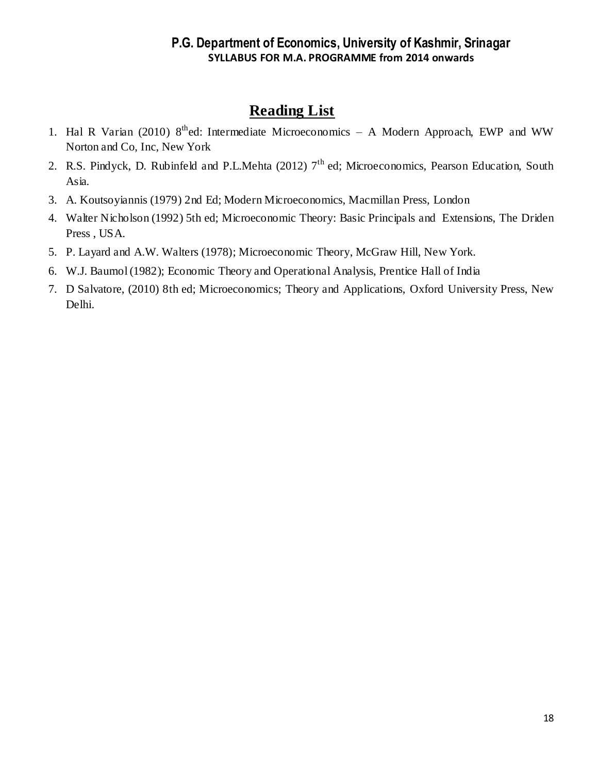- 1. Hal R Varian (2010) 8<sup>th</sup>ed: Intermediate Microeconomics A Modern Approach, EWP and WW Norton and Co, Inc, New York
- 2. R.S. Pindyck, D. Rubinfeld and P.L.Mehta (2012)  $7<sup>th</sup>$  ed; Microeconomics, Pearson Education, South Asia.
- 3. A. Koutsoyiannis (1979) 2nd Ed; Modern Microeconomics, Macmillan Press, London
- 4. Walter Nicholson (1992) 5th ed; Microeconomic Theory: Basic Principals and Extensions, The Driden Press , USA.
- 5. P. Layard and A.W. Walters (1978); Microeconomic Theory, McGraw Hill, New York.
- 6. W.J. Baumol (1982); Economic Theory and Operational Analysis, Prentice Hall of India
- 7. D Salvatore, (2010) 8th ed; Microeconomics; Theory and Applications, Oxford University Press, New Delhi.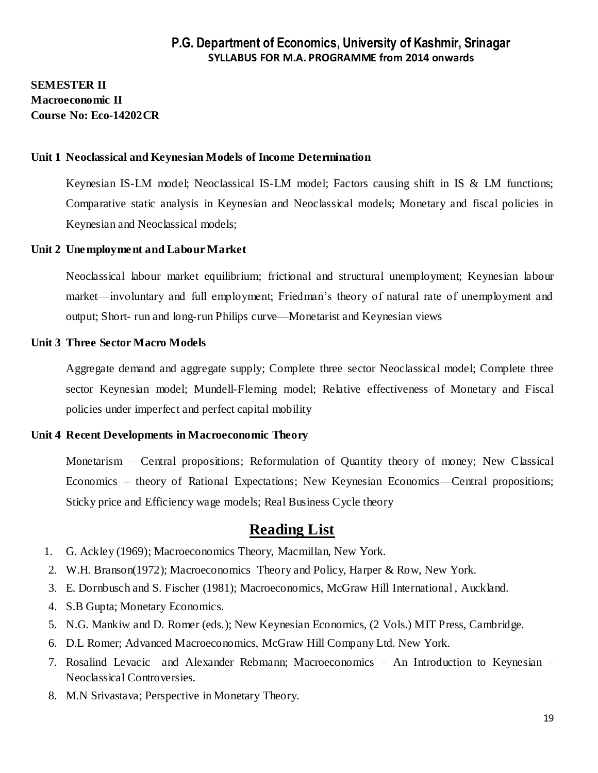## **SEMESTER II Macroeconomic II Course No: Eco-14202CR**

#### **Unit 1 Neoclassical and Keynesian Models of Income Determination**

Keynesian IS-LM model; Neoclassical IS-LM model; Factors causing shift in IS & LM functions; Comparative static analysis in Keynesian and Neoclassical models; Monetary and fiscal policies in Keynesian and Neoclassical models;

#### **Unit 2 Unemployment and Labour Market**

Neoclassical labour market equilibrium; frictional and structural unemployment; Keynesian labour market—involuntary and full employment; Friedman's theory of natural rate of unemployment and output; Short- run and long-run Philips curve—Monetarist and Keynesian views

#### **Unit 3 Three Sector Macro Models**

Aggregate demand and aggregate supply; Complete three sector Neoclassical model; Complete three sector Keynesian model; Mundell-Fleming model; Relative effectiveness of Monetary and Fiscal policies under imperfect and perfect capital mobility

#### **Unit 4 Recent Developments in Macroeconomic Theory**

Monetarism – Central propositions; Reformulation of Quantity theory of money; New Classical Economics – theory of Rational Expectations; New Keynesian Economics—Central propositions; Sticky price and Efficiency wage models; Real Business Cycle theory

- 1. G. Ackley (1969); Macroeconomics Theory, Macmillan, New York.
- 2. W.H. Branson(1972); Macroeconomics Theory and Policy, Harper & Row, New York.
- 3. E. Dornbusch and S. Fischer (1981); Macroeconomics, McGraw Hill International , Auckland.
- 4. S.B Gupta; Monetary Economics.
- 5. N.G. Mankiw and D. Romer (eds.); New Keynesian Economics, (2 Vols.) MIT Press, Cambridge.
- 6. D.L Romer; Advanced Macroeconomics, McGraw Hill Company Ltd. New York.
- 7. Rosalind Levacic and Alexander Rebmann; Macroeconomics An Introduction to Keynesian Neoclassical Controversies.
- 8. M.N Srivastava; Perspective in Monetary Theory.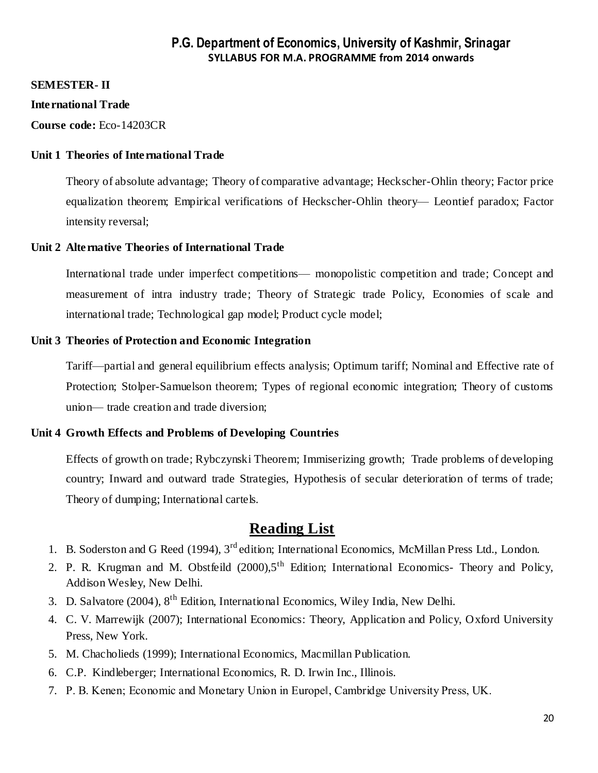#### **SEMESTER- II**

#### **International Trade**

**Course code:** Eco-14203CR

#### **Unit 1 Theories of International Trade**

Theory of absolute advantage; Theory of comparative advantage; Heckscher-Ohlin theory; Factor price equalization theorem; Empirical verifications of Heckscher-Ohlin theory— Leontief paradox; Factor intensity reversal;

#### **Unit 2 Alternative Theories of International Trade**

International trade under imperfect competitions— monopolistic competition and trade; Concept and measurement of intra industry trade; Theory of Strategic trade Policy, Economies of scale and international trade; Technological gap model; Product cycle model;

#### **Unit 3 Theories of Protection and Economic Integration**

Tariff—partial and general equilibrium effects analysis; Optimum tariff; Nominal and Effective rate of Protection; Stolper-Samuelson theorem; Types of regional economic integration; Theory of customs union— trade creation and trade diversion;

#### **Unit 4 Growth Effects and Problems of Developing Countries**

Effects of growth on trade; Rybczynski Theorem; Immiserizing growth; Trade problems of developing country; Inward and outward trade Strategies, Hypothesis of secular deterioration of terms of trade; Theory of dumping; International cartels.

- 1. B. Soderston and G Reed (1994), 3<sup>rd</sup> edition; International Economics, McMillan Press Ltd., London.
- 2. P. R. Krugman and M. Obstfeild (2000), 5<sup>th</sup> Edition; International Economics- Theory and Policy, Addison Wesley, New Delhi.
- 3. D. Salvatore (2004), 8th Edition, International Economics, Wiley India, New Delhi.
- 4. C. V. Marrewijk (2007); International Economics: Theory, Application and Policy, Oxford University Press, New York.
- 5. M. Chacholieds (1999); International Economics, Macmillan Publication.
- 6. C.P. Kindleberger; International Economics, R. D. Irwin Inc., Illinois.
- 7. P. B. Kenen; Economic and Monetary Union in Europe‖, Cambridge University Press, UK.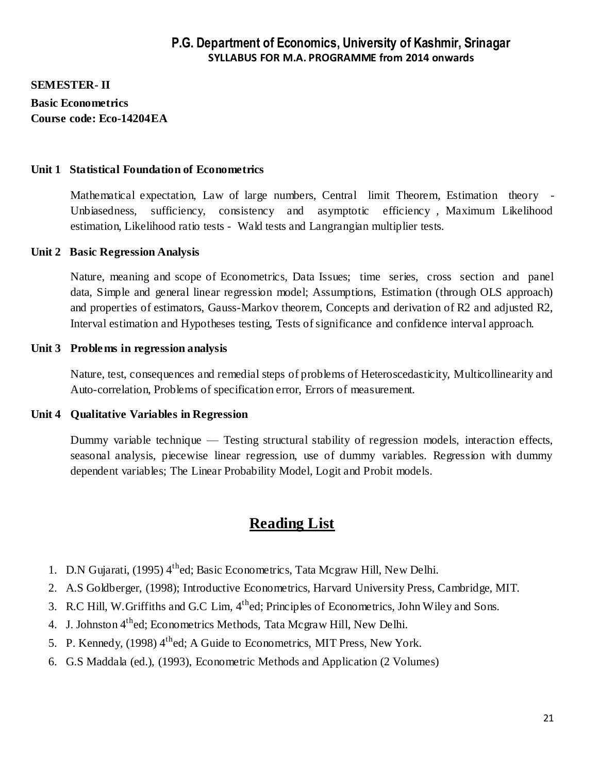**SEMESTER- II Basic Econometrics Course code: Eco-14204EA**

#### **Unit 1 Statistical Foundation of Econometrics**

Mathematical expectation, Law of large numbers, Central limit Theorem, Estimation theory - Unbiasedness, sufficiency, consistency and asymptotic efficiency , Maximum Likelihood estimation, Likelihood ratio tests - Wald tests and Langrangian multiplier tests.

#### **Unit 2 Basic Regression Analysis**

Nature, meaning and scope of Econometrics, Data Issues; time series, cross section and panel data, Simple and general linear regression model; Assumptions, Estimation (through OLS approach) and properties of estimators, Gauss-Markov theorem, Concepts and derivation of R2 and adjusted R2, Interval estimation and Hypotheses testing, Tests of significance and confidence interval approach.

#### **Unit 3 Problems in regression analysis**

Nature, test, consequences and remedial steps of problems of Heteroscedasticity, Multicollinearity and Auto-correlation, Problems of specification error, Errors of measurement.

#### **Unit 4 Qualitative Variables in Regression**

Dummy variable technique — Testing structural stability of regression models, interaction effects, seasonal analysis, piecewise linear regression, use of dummy variables. Regression with dummy dependent variables; The Linear Probability Model, Logit and Probit models.

- 1. D.N Gujarati, (1995) 4<sup>th</sup>ed; Basic Econometrics, Tata Mcgraw Hill, New Delhi.
- 2. A.S Goldberger, (1998); Introductive Econometrics, Harvard University Press, Cambridge, MIT.
- 3. R.C Hill, W.Griffiths and G.C Lim, 4thed; Principles of Econometrics, John Wiley and Sons.
- 4. J. Johnston 4<sup>th</sup>ed; Econometrics Methods, Tata Mcgraw Hill, New Delhi.
- 5. P. Kennedy, (1998) 4<sup>th</sup>ed; A Guide to Econometrics, MIT Press, New York.
- 6. G.S Maddala (ed.), (1993), Econometric Methods and Application (2 Volumes)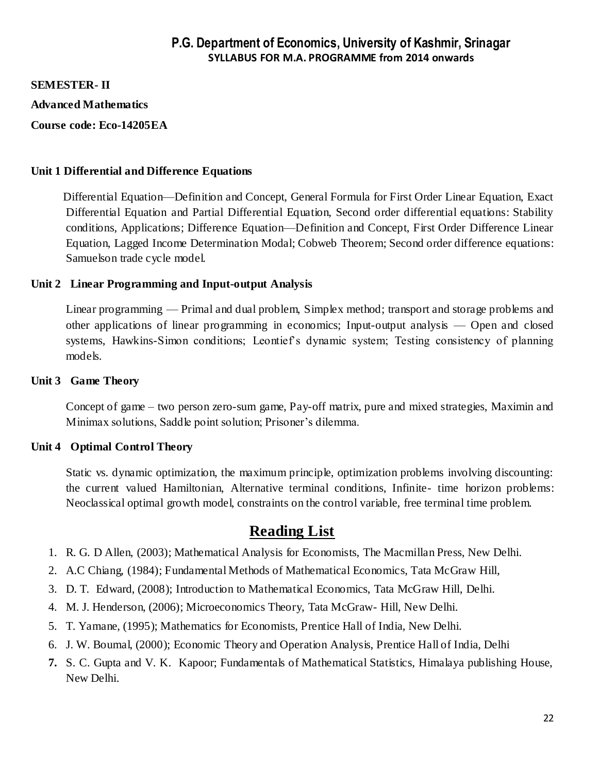**SEMESTER- II**

**Advanced Mathematics**

**Course code: Eco-14205EA**

#### **Unit 1 Differential and Difference Equations**

 Differential Equation—Definition and Concept, General Formula for First Order Linear Equation, Exact Differential Equation and Partial Differential Equation, Second order differential equations: Stability conditions, Applications; Difference Equation—Definition and Concept, First Order Difference Linear Equation, Lagged Income Determination Modal; Cobweb Theorem; Second order difference equations: Samuelson trade cycle model.

#### **Unit 2 Linear Programming and Input-output Analysis**

Linear programming — Primal and dual problem, Simplex method; transport and storage problems and other applications of linear programming in economics; Input-output analysis — Open and closed systems, Hawkins-Simon conditions; Leontief's dynamic system; Testing consistency of planning models.

#### **Unit 3 Game Theory**

Concept of game – two person zero-sum game, Pay-off matrix, pure and mixed strategies, Maximin and Minimax solutions, Saddle point solution; Prisoner's dilemma.

#### **Unit 4 Optimal Control Theory**

Static vs. dynamic optimization, the maximum principle, optimization problems involving discounting: the current valued Hamiltonian, Alternative terminal conditions, Infinite- time horizon problems: Neoclassical optimal growth model, constraints on the control variable, free terminal time problem.

- 1. R. G. D Allen, (2003); Mathematical Analysis for Economists, The Macmillan Press, New Delhi.
- 2. A.C Chiang, (1984); Fundamental Methods of Mathematical Economics, Tata McGraw Hill,
- 3. D. T. Edward, (2008); Introduction to Mathematical Economics, Tata McGraw Hill, Delhi.
- 4. M. J. Henderson, (2006); Microeconomics Theory, Tata McGraw- Hill, New Delhi.
- 5. T. Yamane, (1995); Mathematics for Economists, Prentice Hall of India, New Delhi.
- 6. J. W. Boumal, (2000); Economic Theory and Operation Analysis, Prentice Hall of India, Delhi
- **7.** S. C. Gupta and V. K. Kapoor; Fundamentals of Mathematical Statistics, Himalaya publishing House, New Delhi.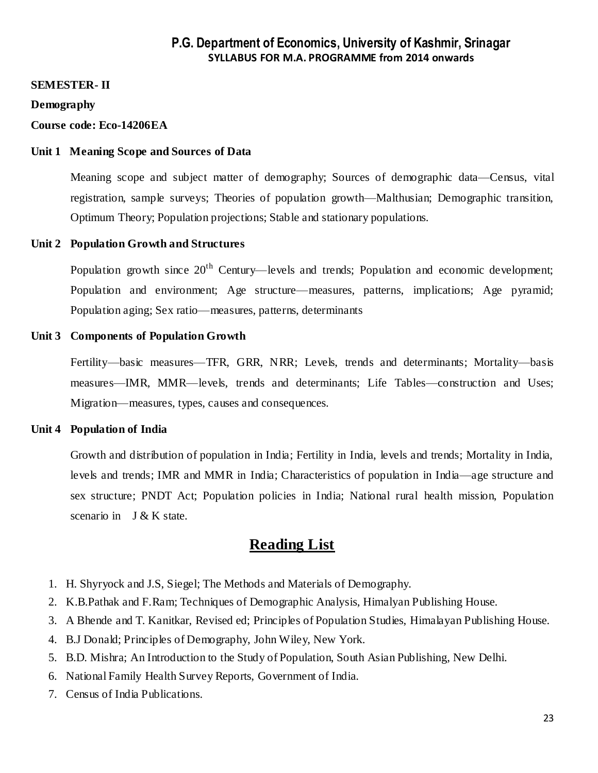#### **SEMESTER- II**

#### **Demography**

#### **Course code: Eco-14206EA**

#### **Unit 1 Meaning Scope and Sources of Data**

Meaning scope and subject matter of demography; Sources of demographic data—Census, vital registration, sample surveys; Theories of population growth—Malthusian; Demographic transition, Optimum Theory; Population projections; Stable and stationary populations.

#### **Unit 2 Population Growth and Structures**

Population growth since  $20<sup>th</sup>$  Century—levels and trends; Population and economic development; Population and environment; Age structure—measures, patterns, implications; Age pyramid; Population aging; Sex ratio—measures, patterns, determinants

#### **Unit 3 Components of Population Growth**

Fertility—basic measures—TFR, GRR, NRR; Levels, trends and determinants; Mortality—basis measures—IMR, MMR—levels, trends and determinants; Life Tables—construction and Uses; Migration—measures, types, causes and consequences.

#### **Unit 4 Population of India**

Growth and distribution of population in India; Fertility in India, levels and trends; Mortality in India, levels and trends; IMR and MMR in India; Characteristics of population in India—age structure and sex structure; PNDT Act; Population policies in India; National rural health mission, Population scenario in J & K state.

- 1. H. Shyryock and J.S, Siegel; The Methods and Materials of Demography.
- 2. K.B.Pathak and F.Ram; Techniques of Demographic Analysis, Himalyan Publishing House.
- 3. A Bhende and T. Kanitkar, Revised ed; Principles of Population Studies, Himalayan Publishing House.
- 4. B.J Donald; Principles of Demography, John Wiley, New York.
- 5. B.D. Mishra; An Introduction to the Study of Population, South Asian Publishing, New Delhi.
- 6. National Family Health Survey Reports, Government of India.
- 7. Census of India Publications.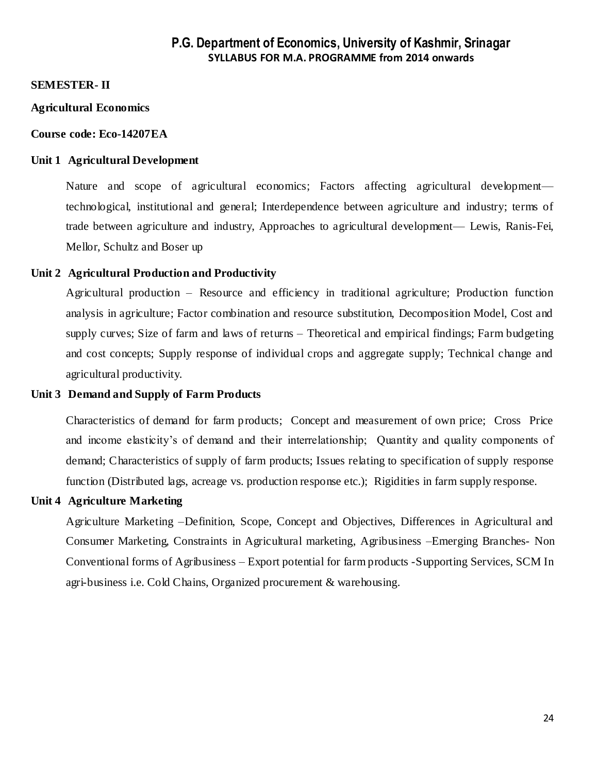#### **SEMESTER- II**

#### **Agricultural Economics**

#### **Course code: Eco-14207EA**

#### **Unit 1 Agricultural Development**

Nature and scope of agricultural economics; Factors affecting agricultural development technological, institutional and general; Interdependence between agriculture and industry; terms of trade between agriculture and industry, Approaches to agricultural development— Lewis, Ranis-Fei, Mellor, Schultz and Boser up

#### **Unit 2 Agricultural Production and Productivity**

Agricultural production – Resource and efficiency in traditional agriculture; Production function analysis in agriculture; Factor combination and resource substitution, Decomposition Model, Cost and supply curves; Size of farm and laws of returns – Theoretical and empirical findings; Farm budgeting and cost concepts; Supply response of individual crops and aggregate supply; Technical change and agricultural productivity.

#### **Unit 3 Demand and Supply of Farm Products**

Characteristics of demand for farm products; Concept and measurement of own price; Cross Price and income elasticity's of demand and their interrelationship; Quantity and quality components of demand; Characteristics of supply of farm products; Issues relating to specification of supply response function (Distributed lags, acreage vs. production response etc.); Rigidities in farm supply response.

#### **Unit 4 Agriculture Marketing**

Agriculture Marketing –Definition, Scope, Concept and Objectives, Differences in Agricultural and Consumer Marketing, Constraints in Agricultural marketing, Agribusiness –Emerging Branches- Non Conventional forms of Agribusiness – Export potential for farm products -Supporting Services, SCM In agri-business i.e. Cold Chains, Organized procurement & warehousing.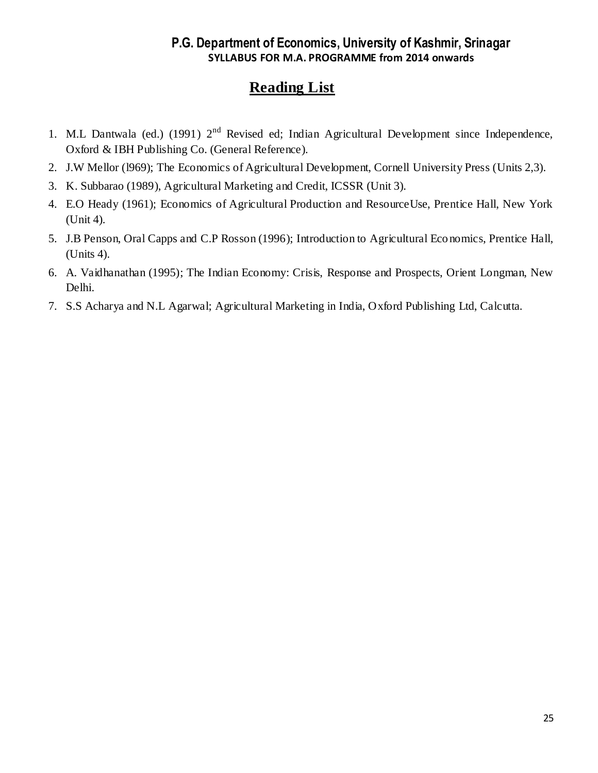- 1. M.L Dantwala (ed.) (1991) 2<sup>nd</sup> Revised ed; Indian Agricultural Development since Independence, Oxford & IBH Publishing Co. (General Reference).
- 2. J.W Mellor (l969); The Economics of Agricultural Development, Cornell University Press (Units 2,3).
- 3. K. Subbarao (1989), Agricultural Marketing and Credit, ICSSR (Unit 3).
- 4. E.O Heady (1961); Economics of Agricultural Production and ResourceUse, Prentice Hall, New York (Unit 4).
- 5. J.B Penson, Oral Capps and C.P Rosson (1996); Introduction to Agricultural Eco nomics, Prentice Hall, (Units 4).
- 6. A. Vaidhanathan (1995); The Indian Economy: Crisis, Response and Prospects, Orient Longman, New Delhi.
- 7. S.S Acharya and N.L Agarwal; Agricultural Marketing in India, Oxford Publishing Ltd, Calcutta.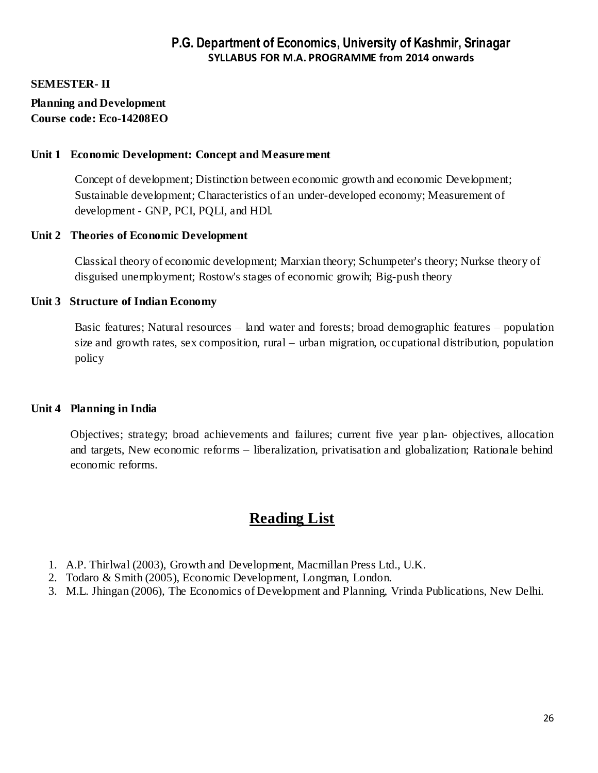#### **SEMESTER- II**

#### **Planning and Development Course code: Eco-14208EO**

#### **Unit 1 Economic Development: Concept and Measurement**

Concept of development; Distinction between economic growth and economic Development; Sustainable development; Characteristics of an under-developed economy; Measurement of development - GNP, PCI, PQLI, and HDl.

#### **Unit 2 Theories of Economic Development**

Classical theory of economic development; Marxian theory; Schumpeter's theory; Nurkse theory of disguised unemployment; Rostow's stages of economic growih; Big-push theory

#### **Unit 3 Structure of Indian Economy**

Basic features; Natural resources – land water and forests; broad demographic features – population size and growth rates, sex composition, rural – urban migration, occupational distribution, population policy

#### **Unit 4 Planning in India**

Objectives; strategy; broad achievements and failures; current five year p lan- objectives, allocation and targets, New economic reforms – liberalization, privatisation and globalization; Rationale behind economic reforms.

- 1. A.P. Thirlwal (2003), Growth and Development, Macmillan Press Ltd., U.K.
- 2. Todaro & Smith (2005), Economic Development, Longman, London.
- 3. M.L. Jhingan (2006), The Economics of Development and Planning, Vrinda Publications, New Delhi.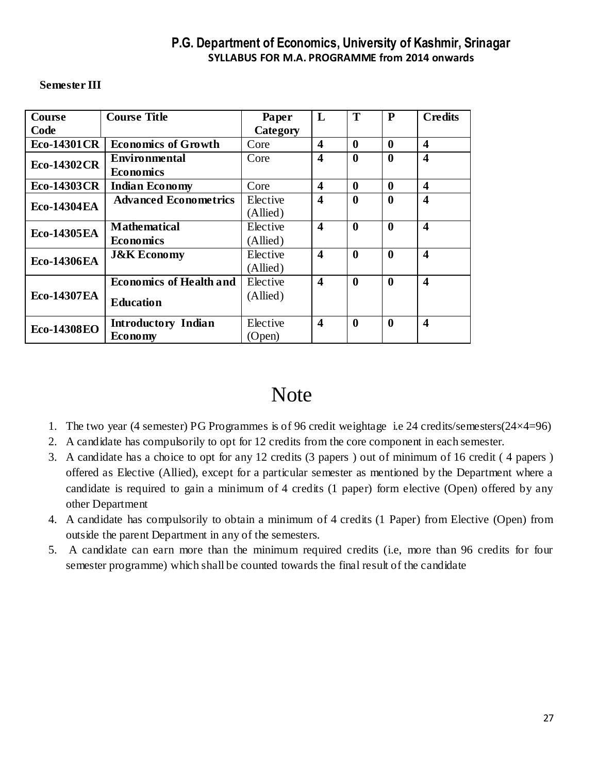| Course              | <b>Course Title</b>            | Paper    | L                       | T                | P                | <b>Credits</b>          |
|---------------------|--------------------------------|----------|-------------------------|------------------|------------------|-------------------------|
| Code                |                                | Category |                         |                  |                  |                         |
| <b>Eco-14301 CR</b> | <b>Economics of Growth</b>     | Core     | $\overline{\mathbf{4}}$ | $\boldsymbol{0}$ | $\bf{0}$         | $\overline{\mathbf{4}}$ |
| Eco-14302CR         | Environmental                  | Core     | 4                       | $\mathbf{0}$     | $\bf{0}$         | 4                       |
|                     | <b>Economics</b>               |          |                         |                  |                  |                         |
| <b>Eco-14303CR</b>  | <b>Indian Economy</b>          | Core     | 4                       | 0                | $\bf{0}$         | $\overline{\mathbf{4}}$ |
| <b>Eco-14304EA</b>  | <b>Advanced Econometrics</b>   | Elective | 4                       | $\mathbf{0}$     | $\bf{0}$         | $\boldsymbol{4}$        |
|                     |                                | (Allied) |                         |                  |                  |                         |
| <b>Eco-14305EA</b>  | <b>Mathematical</b>            | Elective | $\overline{\mathbf{4}}$ | $\boldsymbol{0}$ | $\boldsymbol{0}$ | $\overline{\mathbf{4}}$ |
|                     | <b>Economics</b>               | (Allied) |                         |                  |                  |                         |
| <b>Eco-14306EA</b>  | <b>J&amp;K Economy</b>         | Elective | $\overline{\mathbf{4}}$ | $\boldsymbol{0}$ | $\mathbf{0}$     | $\overline{\mathbf{4}}$ |
|                     |                                | (Allied) |                         |                  |                  |                         |
|                     | <b>Economics of Health and</b> | Elective | 4                       | $\boldsymbol{0}$ | $\boldsymbol{0}$ | $\overline{\mathbf{4}}$ |
| <b>Eco-14307EA</b>  | <b>Education</b>               | (Allied) |                         |                  |                  |                         |
|                     |                                |          |                         |                  |                  |                         |
| <b>Eco-14308EO</b>  | <b>Introductory Indian</b>     | Elective | $\overline{\mathbf{4}}$ | $\boldsymbol{0}$ | $\boldsymbol{0}$ | $\overline{\mathbf{4}}$ |
|                     | <b>Economy</b>                 | (Open)   |                         |                  |                  |                         |

#### **Semester III**

# **Note**

- 1. The two year (4 semester) PG Programmes is of 96 credit weightage i.e 24 credits/semesters(24×4=96)
- 2. A candidate has compulsorily to opt for 12 credits from the core component in each semester.
- 3. A candidate has a choice to opt for any 12 credits (3 papers ) out of minimum of 16 credit ( 4 papers ) offered as Elective (Allied), except for a particular semester as mentioned by the Department where a candidate is required to gain a minimum of 4 credits (1 paper) form elective (Open) offered by any other Department
- 4. A candidate has compulsorily to obtain a minimum of 4 credits (1 Paper) from Elective (Open) from outside the parent Department in any of the semesters.
- 5. A candidate can earn more than the minimum required credits (i.e, more than 96 credits for four semester programme) which shall be counted towards the final result of the candidate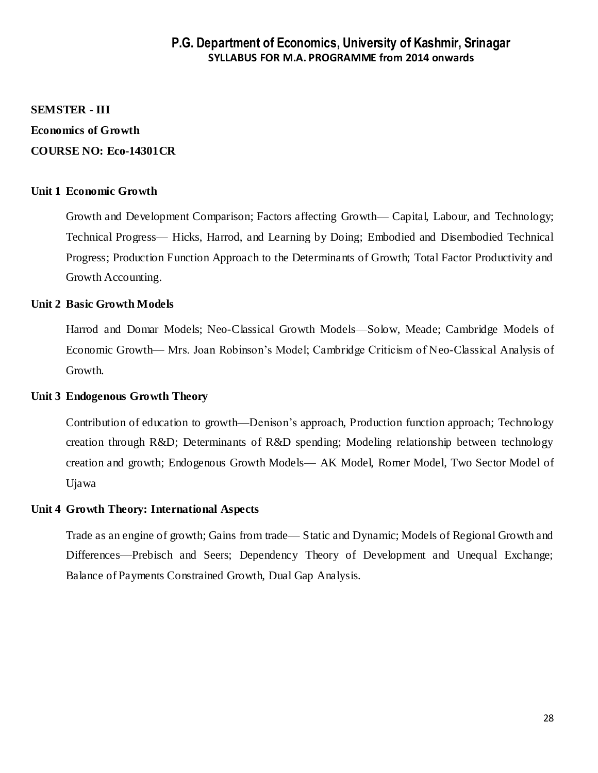# **SEMSTER - III**

## **Economics of Growth COURSE NO: Eco-14301CR**

#### **Unit 1 Economic Growth**

Growth and Development Comparison; Factors affecting Growth— Capital, Labour, and Technology; Technical Progress— Hicks, Harrod, and Learning by Doing; Embodied and Disembodied Technical Progress; Production Function Approach to the Determinants of Growth; Total Factor Productivity and Growth Accounting.

#### **Unit 2 Basic Growth Models**

Harrod and Domar Models; Neo-Classical Growth Models—Solow, Meade; Cambridge Models of Economic Growth— Mrs. Joan Robinson's Model; Cambridge Criticism of Neo-Classical Analysis of Growth.

#### **Unit 3 Endogenous Growth Theory**

Contribution of education to growth—Denison's approach, Production function approach; Technology creation through R&D; Determinants of R&D spending; Modeling relationship between technology creation and growth; Endogenous Growth Models— AK Model, Romer Model, Two Sector Model of Ujawa

#### **Unit 4 Growth Theory: International Aspects**

Trade as an engine of growth; Gains from trade— Static and Dynamic; Models of Regional Growth and Differences—Prebisch and Seers; Dependency Theory of Development and Unequal Exchange; Balance of Payments Constrained Growth, Dual Gap Analysis.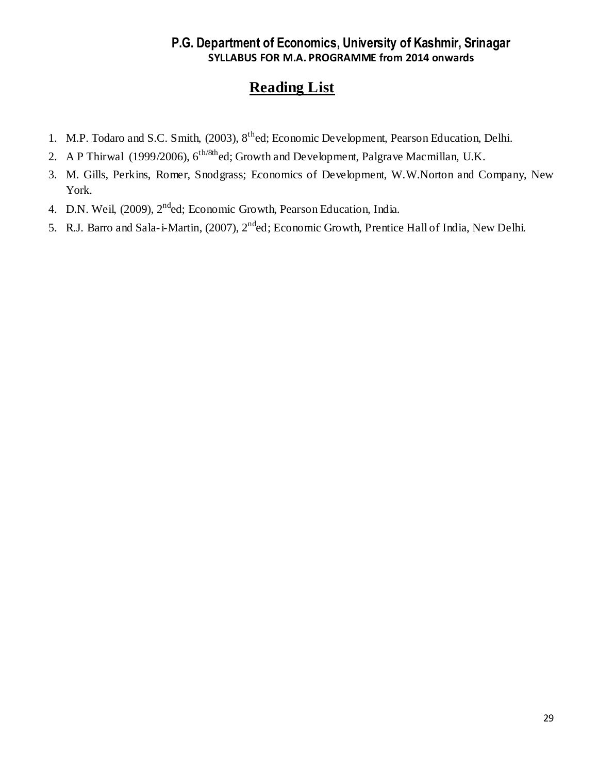- 1. M.P. Todaro and S.C. Smith, (2003), 8<sup>th</sup>ed; Economic Development, Pearson Education, Delhi.
- 2. A P Thirwal (1999/2006),  $6^{\text{th/8th}}$ ed; Growth and Development, Palgrave Macmillan, U.K.
- 3. M. Gills, Perkins, Romer, Snodgrass; Economics of Development, W.W.Norton and Company, New York.
- 4. D.N. Weil, (2009), 2<sup>nd</sup>ed; Economic Growth, Pearson Education, India.
- 5. R.J. Barro and Sala-i-Martin, (2007), 2nded; Economic Growth, Prentice Hall of India, New Delhi.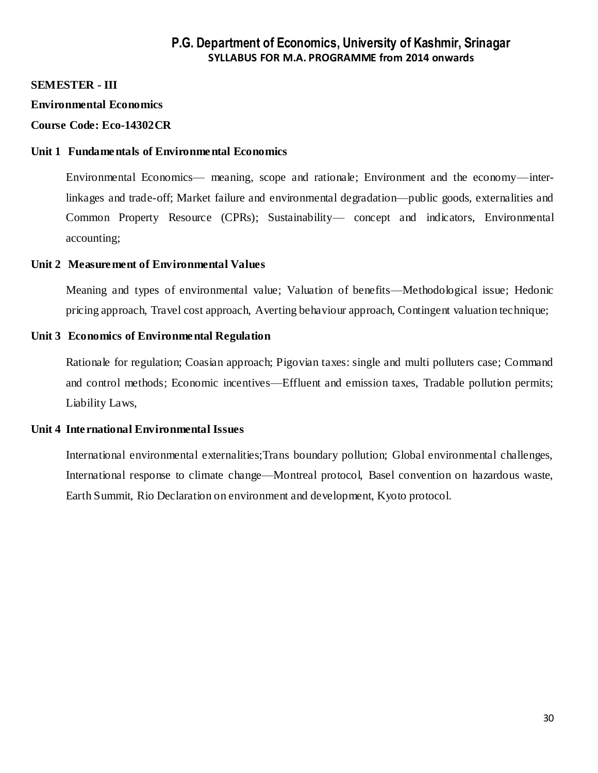#### **SEMESTER - III**

#### **Environmental Economics**

#### **Course Code: Eco-14302CR**

#### **Unit 1 Fundamentals of Environmental Economics**

Environmental Economics— meaning, scope and rationale; Environment and the economy—interlinkages and trade-off; Market failure and environmental degradation—public goods, externalities and Common Property Resource (CPRs); Sustainability— concept and indicators, Environmental accounting;

#### **Unit 2 Measurement of Environmental Values**

Meaning and types of environmental value; Valuation of benefits—Methodological issue; Hedonic pricing approach, Travel cost approach, Averting behaviour approach, Contingent valuation technique;

#### **Unit 3 Economics of Environmental Regulation**

Rationale for regulation; Coasian approach; Pigovian taxes: single and multi polluters case; Command and control methods; Economic incentives—Effluent and emission taxes, Tradable pollution permits; Liability Laws,

#### **Unit 4 International Environmental Issues**

International environmental externalities;Trans boundary pollution; Global environmental challenges, International response to climate change—Montreal protocol, Basel convention on hazardous waste, Earth Summit, Rio Declaration on environment and development, Kyoto protocol.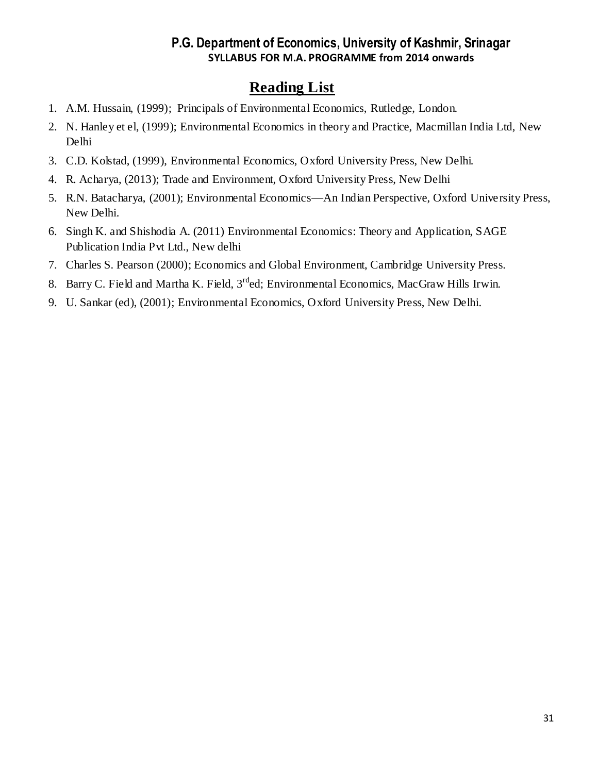- 1. A.M. Hussain, (1999); Principals of Environmental Economics, Rutledge, London.
- 2. N. Hanley et el, (1999); Environmental Economics in theory and Practice, Macmillan India Ltd, New Delhi
- 3. C.D. Kolstad, (1999), Environmental Economics, Oxford University Press, New Delhi.
- 4. R. Acharya, (2013); Trade and Environment, Oxford University Press, New Delhi
- 5. R.N. Batacharya, (2001); Environmental Economics—An Indian Perspective, Oxford University Press, New Delhi.
- 6. Singh K. and Shishodia A. (2011) Environmental Economics: Theory and Application, SAGE Publication India Pvt Ltd., New delhi
- 7. Charles S. Pearson (2000); Economics and Global Environment, Cambridge University Press.
- 8. Barry C. Field and Martha K. Field, 3<sup>rd</sup>ed; Environmental Economics, MacGraw Hills Irwin.
- 9. U. Sankar (ed), (2001); Environmental Economics, Oxford University Press, New Delhi.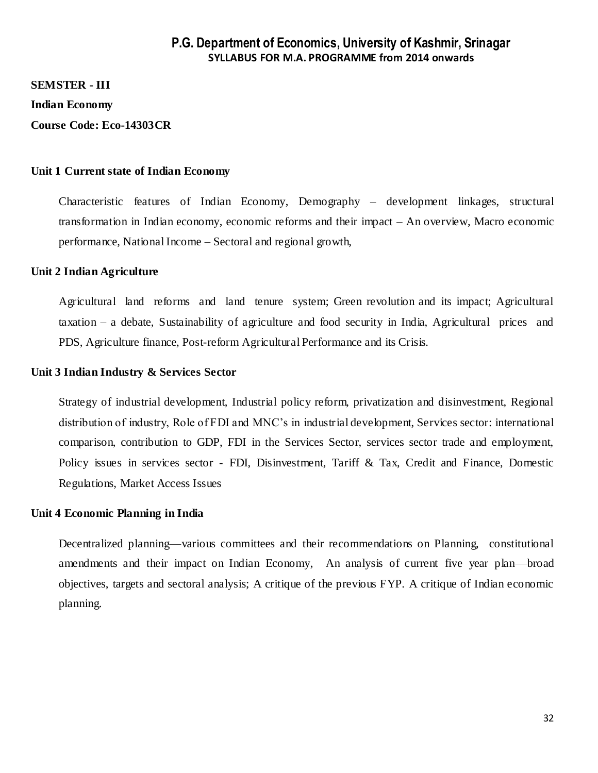#### **SEMSTER - III**

**Indian Economy** 

**Course Code: Eco-14303CR**

#### **Unit 1 Current state of Indian Economy**

Characteristic features of Indian Economy, Demography – development linkages, structural transformation in Indian economy, economic reforms and their impact – An overview, Macro economic performance, National Income – Sectoral and regional growth,

#### **Unit 2 Indian Agriculture**

Agricultural land reforms and land tenure system; Green revolution and its impact; Agricultural taxation – a debate, Sustainability of agriculture and food security in India, Agricultural prices and PDS, Agriculture finance, Post-reform Agricultural Performance and its Crisis.

#### **Unit 3 Indian Industry & Services Sector**

Strategy of industrial development, Industrial policy reform, privatization and disinvestment, Regional distribution of industry, Role of FDI and MNC's in industrial development, Services sector: international comparison, contribution to GDP, FDI in the Services Sector, services sector trade and employment, Policy issues in services sector - FDI, Disinvestment, Tariff & Tax, Credit and Finance, Domestic Regulations, Market Access Issues

#### **Unit 4 Economic Planning in India**

Decentralized planning—various committees and their recommendations on Planning, constitutional amendments and their impact on Indian Economy, An analysis of current five year plan—broad objectives, targets and sectoral analysis; A critique of the previous FYP. A critique of Indian economic planning.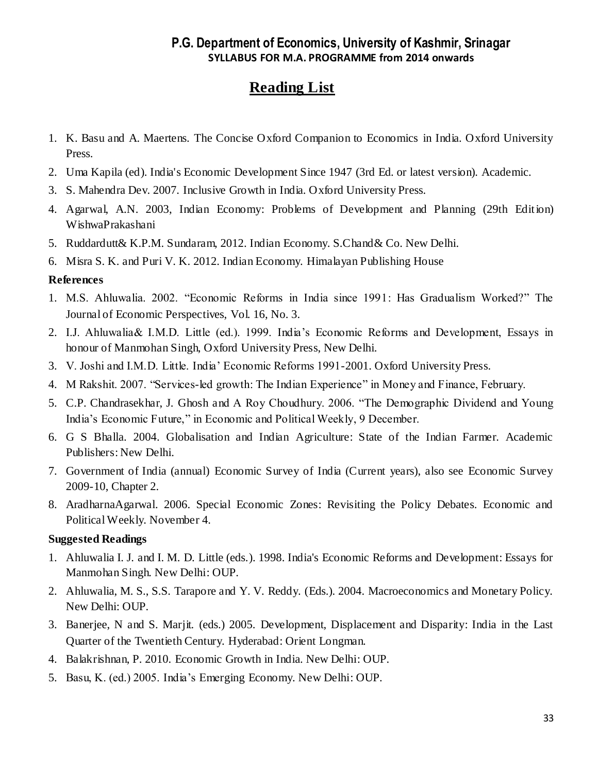## **Reading List**

- 1. K. Basu and A. Maertens. The Concise Oxford Companion to Economics in India. Oxford University Press.
- 2. Uma Kapila (ed). India's Economic Development Since 1947 (3rd Ed. or latest version). Academic.
- 3. S. Mahendra Dev. 2007. Inclusive Growth in India. Oxford University Press.
- 4. Agarwal, A.N. 2003, Indian Economy: Problems of Development and Planning (29th Edition) WishwaPrakashani
- 5. Ruddardutt& K.P.M. Sundaram, 2012. Indian Economy. S.Chand& Co. New Delhi.
- 6. Misra S. K. and Puri V. K. 2012. Indian Economy. Himalayan Publishing House

### **References**

- 1. M.S. Ahluwalia. 2002. "Economic Reforms in India since 1991: Has Gradualism Worked?" The Journal of Economic Perspectives, Vol. 16, No. 3.
- 2. I.J. Ahluwalia& I.M.D. Little (ed.). 1999. India's Economic Reforms and Development, Essays in honour of Manmohan Singh, Oxford University Press, New Delhi.
- 3. V. Joshi and I.M.D. Little. India' Economic Reforms 1991-2001. Oxford University Press.
- 4. M Rakshit. 2007. "Services-led growth: The Indian Experience" in Money and Finance, February.
- 5. C.P. Chandrasekhar, J. Ghosh and A Roy Choudhury. 2006. "The Demographic Dividend and Young India's Economic Future," in Economic and Political Weekly, 9 December.
- 6. G S Bhalla. 2004. Globalisation and Indian Agriculture: State of the Indian Farmer. Academic Publishers: New Delhi.
- 7. Government of India (annual) Economic Survey of India (Current years), also see Economic Survey 2009-10, Chapter 2.
- 8. AradharnaAgarwal. 2006. Special Economic Zones: Revisiting the Policy Debates. Economic and Political Weekly. November 4.

### **Suggested Readings**

- 1. Ahluwalia I. J. and I. M. D. Little (eds.). 1998. India's Economic Reforms and Development: Essays for Manmohan Singh. New Delhi: OUP.
- 2. Ahluwalia, M. S., S.S. Tarapore and Y. V. Reddy. (Eds.). 2004. Macroeconomics and Monetary Policy. New Delhi: OUP.
- 3. Banerjee, N and S. Marjit. (eds.) 2005. Development, Displacement and Disparity: India in the Last Quarter of the Twentieth Century. Hyderabad: Orient Longman.
- 4. Balakrishnan, P. 2010. Economic Growth in India. New Delhi: OUP.
- 5. Basu, K. (ed.) 2005. India's Emerging Economy. New Delhi: OUP.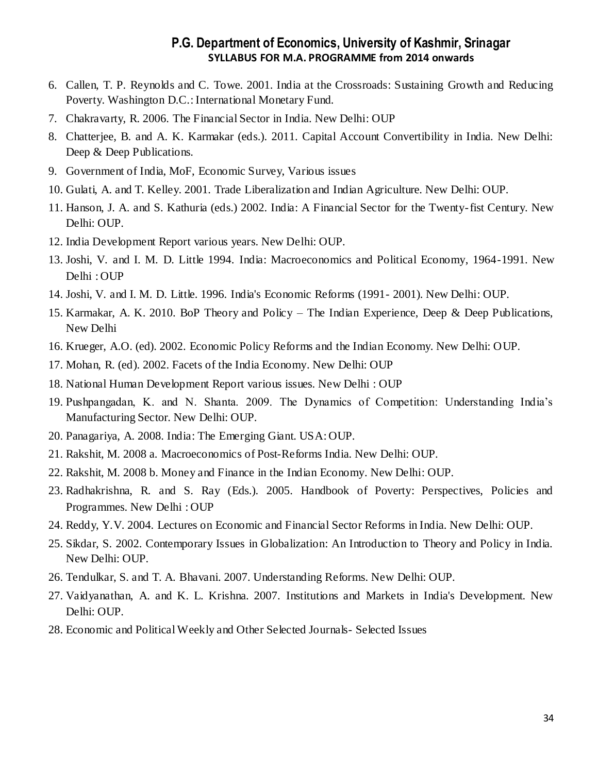- 6. Callen, T. P. Reynolds and C. Towe. 2001. India at the Crossroads: Sustaining Growth and Reducing Poverty. Washington D.C.: International Monetary Fund.
- 7. Chakravarty, R. 2006. The Financial Sector in India. New Delhi: OUP
- 8. Chatterjee, B. and A. K. Karmakar (eds.). 2011. Capital Account Convertibility in India. New Delhi: Deep & Deep Publications.
- 9. Government of India, MoF, Economic Survey, Various issues
- 10. Gulati, A. and T. Kelley. 2001. Trade Liberalization and Indian Agriculture. New Delhi: OUP.
- 11. Hanson, J. A. and S. Kathuria (eds.) 2002. India: A Financial Sector for the Twenty-fist Century. New Delhi: OUP.
- 12. India Development Report various years. New Delhi: OUP.
- 13. Joshi, V. and I. M. D. Little 1994. India: Macroeconomics and Political Economy, 1964-1991. New Delhi : OUP
- 14. Joshi, V. and I. M. D. Little. 1996. India's Economic Reforms (1991- 2001). New Delhi: OUP.
- 15. Karmakar, A. K. 2010. BoP Theory and Policy The Indian Experience, Deep & Deep Publications, New Delhi
- 16. Krueger, A.O. (ed). 2002. Economic Policy Reforms and the Indian Economy. New Delhi: OUP.
- 17. Mohan, R. (ed). 2002. Facets of the India Economy. New Delhi: OUP
- 18. National Human Development Report various issues. New Delhi : OUP
- 19. Pushpangadan, K. and N. Shanta. 2009. The Dynamics of Competition: Understanding India's Manufacturing Sector. New Delhi: OUP.
- 20. Panagariya, A. 2008. India: The Emerging Giant. USA: OUP.
- 21. Rakshit, M. 2008 a. Macroeconomics of Post-Reforms India. New Delhi: OUP.
- 22. Rakshit, M. 2008 b. Money and Finance in the Indian Economy. New Delhi: OUP.
- 23. Radhakrishna, R. and S. Ray (Eds.). 2005. Handbook of Poverty: Perspectives, Policies and Programmes. New Delhi : OUP
- 24. Reddy, Y.V. 2004. Lectures on Economic and Financial Sector Reforms in India. New Delhi: OUP.
- 25. Sikdar, S. 2002. Contemporary Issues in Globalization: An Introduction to Theory and Policy in India. New Delhi: OUP.
- 26. Tendulkar, S. and T. A. Bhavani. 2007. Understanding Reforms. New Delhi: OUP.
- 27. Vaidyanathan, A. and K. L. Krishna. 2007. Institutions and Markets in India's Development. New Delhi: OUP.
- 28. Economic and Political Weekly and Other Selected Journals- Selected Issues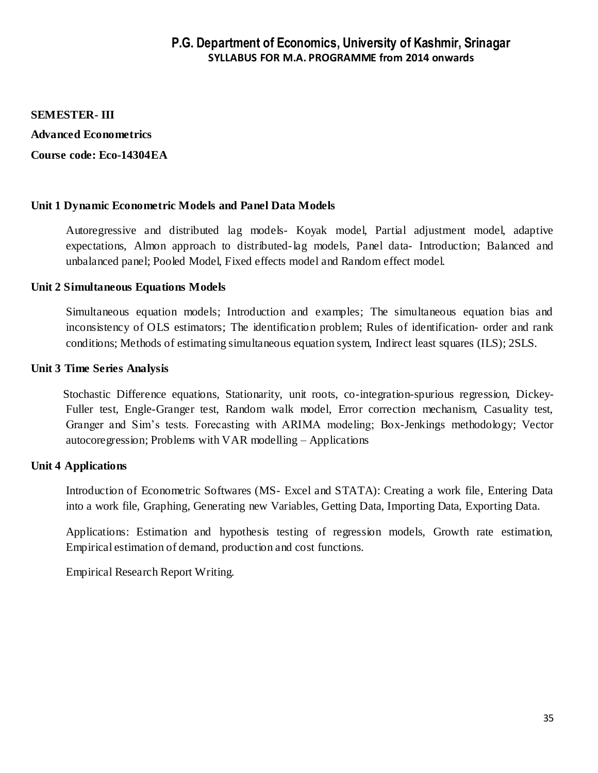#### **SEMESTER- III**

**Advanced Econometrics Course code: Eco-14304EA**

### **Unit 1 Dynamic Econometric Models and Panel Data Models**

Autoregressive and distributed lag models- Koyak model, Partial adjustment model, adaptive expectations, Almon approach to distributed-lag models, Panel data- Introduction; Balanced and unbalanced panel; Pooled Model, Fixed effects model and Random effect model.

### **Unit 2 Simultaneous Equations Models**

Simultaneous equation models; Introduction and examples; The simultaneous equation bias and inconsistency of OLS estimators; The identification problem; Rules of identification- order and rank conditions; Methods of estimating simultaneous equation system, Indirect least squares (ILS); 2SLS.

#### **Unit 3 Time Series Analysis**

 Stochastic Difference equations, Stationarity, unit roots, co-integration-spurious regression, Dickey-Fuller test, Engle-Granger test, Random walk model, Error correction mechanism, Casuality test, Granger and Sim's tests. Forecasting with ARIMA modeling; Box-Jenkings methodology; Vector autocoregression; Problems with VAR modelling – Applications

### **Unit 4 Applications**

Introduction of Econometric Softwares (MS- Excel and STATA): Creating a work file, Entering Data into a work file, Graphing, Generating new Variables, Getting Data, Importing Data, Exporting Data.

Applications: Estimation and hypothesis testing of regression models, Growth rate estimation, Empirical estimation of demand, production and cost functions.

Empirical Research Report Writing.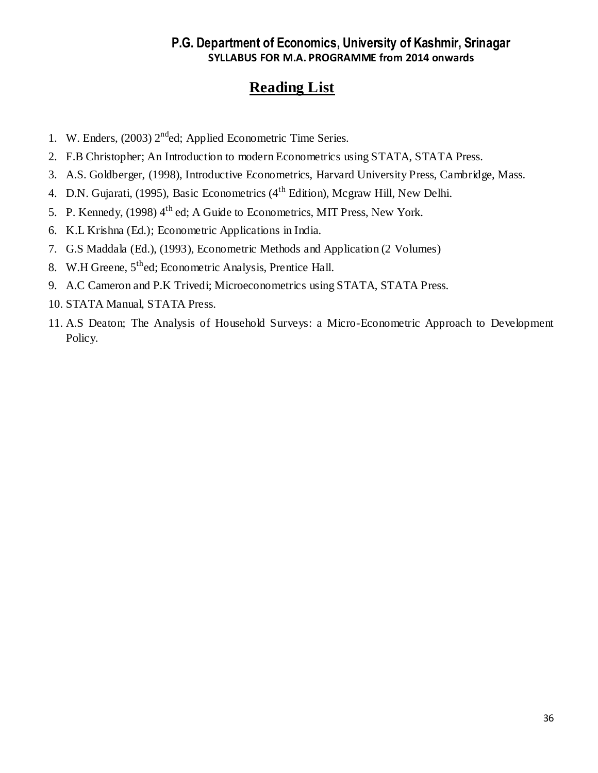- 1. W. Enders,  $(2003)$   $2<sup>nd</sup>$ ed; Applied Econometric Time Series.
- 2. F.B Christopher; An Introduction to modern Econometrics using STATA, STATA Press.
- 3. A.S. Goldberger, (1998), Introductive Econometrics, Harvard University Press, Cambridge, Mass.
- 4. D.N. Gujarati, (1995), Basic Econometrics (4<sup>th</sup> Edition), Mcgraw Hill, New Delhi.
- 5. P. Kennedy, (1998) 4<sup>th</sup> ed; A Guide to Econometrics, MIT Press, New York.
- 6. K.L Krishna (Ed.); Econometric Applications in India.
- 7. G.S Maddala (Ed.), (1993), Econometric Methods and Application (2 Volumes)
- 8. W.H Greene,  $5<sup>th</sup>$ ed; Econometric Analysis, Prentice Hall.
- 9. A.C Cameron and P.K Trivedi; Microeconometrics using STATA, STATA Press.
- 10. STATA Manual, STATA Press.
- 11. A.S Deaton; The Analysis of Household Surveys: a Micro-Econometric Approach to Development Policy.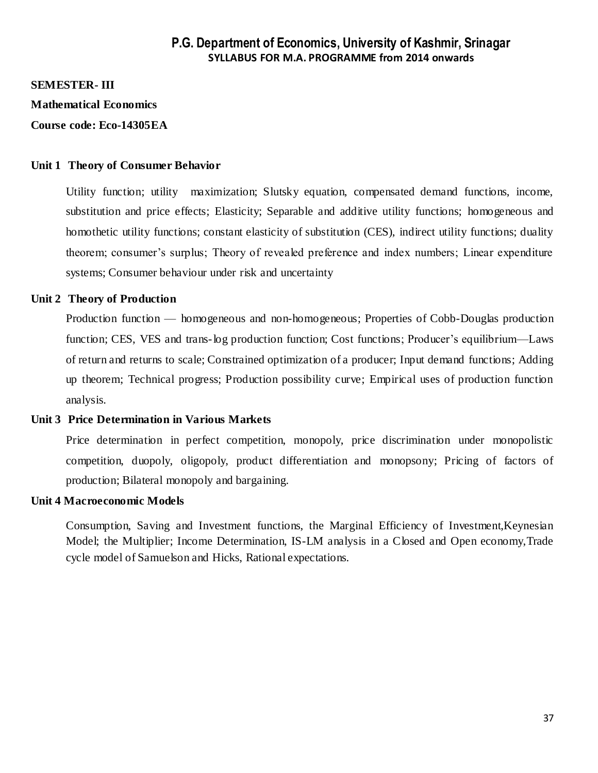#### **SEMESTER- III**

**Mathematical Economics** 

**Course code: Eco-14305EA**

#### **Unit 1 Theory of Consumer Behavior**

Utility function; utility maximization; Slutsky equation, compensated demand functions, income, substitution and price effects; Elasticity; Separable and additive utility functions; homogeneous and homothetic utility functions; constant elasticity of substitution (CES), indirect utility functions; duality theorem; consumer's surplus; Theory of revealed preference and index numbers; Linear expenditure systems; Consumer behaviour under risk and uncertainty

#### **Unit 2 Theory of Production**

Production function — homogeneous and non-homogeneous; Properties of Cobb-Douglas production function; CES, VES and trans-log production function; Cost functions; Producer's equilibrium—Laws of return and returns to scale; Constrained optimization of a producer; Input demand functions; Adding up theorem; Technical progress; Production possibility curve; Empirical uses of production function analysis.

#### **Unit 3 Price Determination in Various Markets**

Price determination in perfect competition, monopoly, price discrimination under monopolistic competition, duopoly, oligopoly, product differentiation and monopsony; Pricing of factors of production; Bilateral monopoly and bargaining.

#### **Unit 4 Macroeconomic Models**

Consumption, Saving and Investment functions, the Marginal Efficiency of Investment,Keynesian Model; the Multiplier; Income Determination, IS-LM analysis in a Closed and Open economy,Trade cycle model of Samuelson and Hicks, Rational expectations.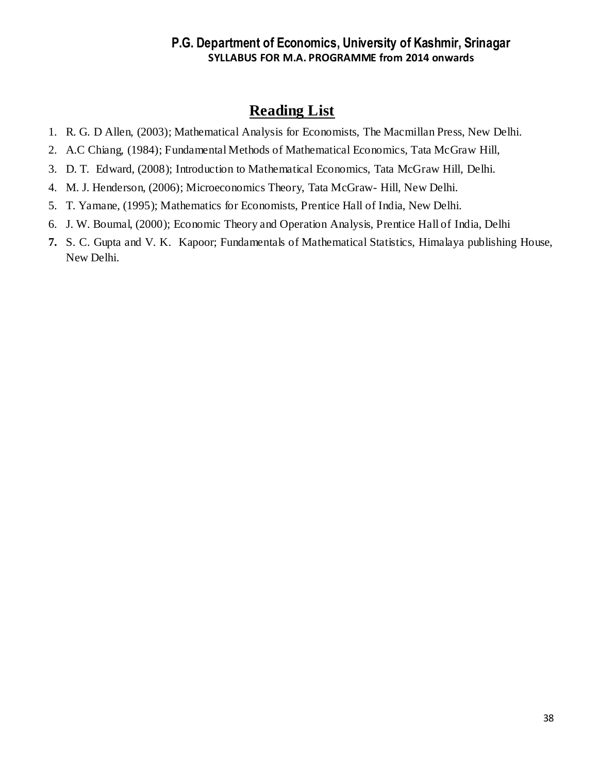- 1. R. G. D Allen, (2003); Mathematical Analysis for Economists, The Macmillan Press, New Delhi.
- 2. A.C Chiang, (1984); Fundamental Methods of Mathematical Economics, Tata McGraw Hill,
- 3. D. T. Edward, (2008); Introduction to Mathematical Economics, Tata McGraw Hill, Delhi.
- 4. M. J. Henderson, (2006); Microeconomics Theory, Tata McGraw- Hill, New Delhi.
- 5. T. Yamane, (1995); Mathematics for Economists, Prentice Hall of India, New Delhi.
- 6. J. W. Boumal, (2000); Economic Theory and Operation Analysis, Prentice Hall of India, Delhi
- **7.** S. C. Gupta and V. K. Kapoor; Fundamentals of Mathematical Statistics, Himalaya publishing House, New Delhi.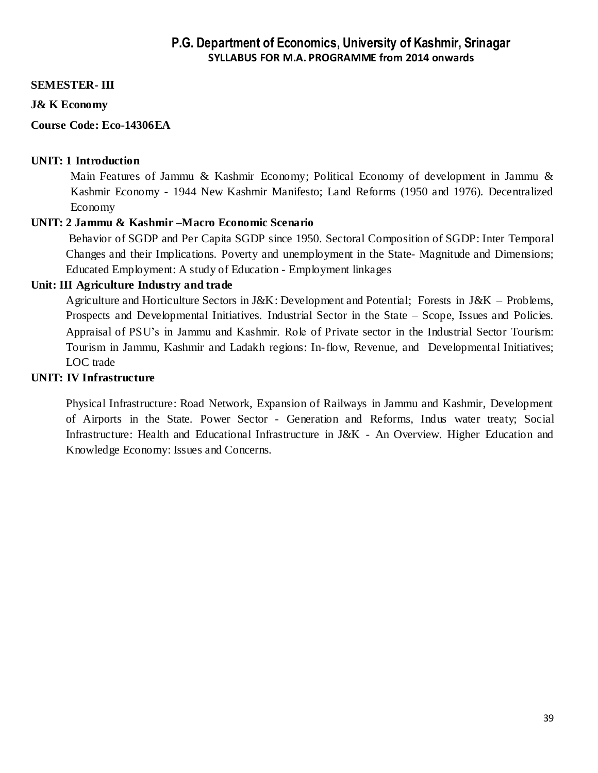#### **SEMESTER- III**

#### **J& K Economy**

#### **Course Code: Eco-14306EA**

#### **UNIT: 1 Introduction**

Main Features of Jammu & Kashmir Economy; Political Economy of development in Jammu & Kashmir Economy - 1944 New Kashmir Manifesto; Land Reforms (1950 and 1976). Decentralized Economy

#### **UNIT: 2 Jammu & Kashmir –Macro Economic Scenario**

 Behavior of SGDP and Per Capita SGDP since 1950. Sectoral Composition of SGDP: Inter Temporal Changes and their Implications. Poverty and unemployment in the State- Magnitude and Dimensions; Educated Employment: A study of Education - Employment linkages

#### **Unit: III Agriculture Industry and trade**

Agriculture and Horticulture Sectors in J&K: Development and Potential; Forests in J&K – Problems, Prospects and Developmental Initiatives. Industrial Sector in the State – Scope, Issues and Policies. Appraisal of PSU's in Jammu and Kashmir. Role of Private sector in the Industrial Sector Tourism: Tourism in Jammu, Kashmir and Ladakh regions: In-flow, Revenue, and Developmental Initiatives; LOC trade

#### **UNIT: IV Infrastructure**

Physical Infrastructure: Road Network, Expansion of Railways in Jammu and Kashmir, Development of Airports in the State. Power Sector - Generation and Reforms, Indus water treaty; Social Infrastructure: Health and Educational Infrastructure in J&K - An Overview. Higher Education and Knowledge Economy: Issues and Concerns.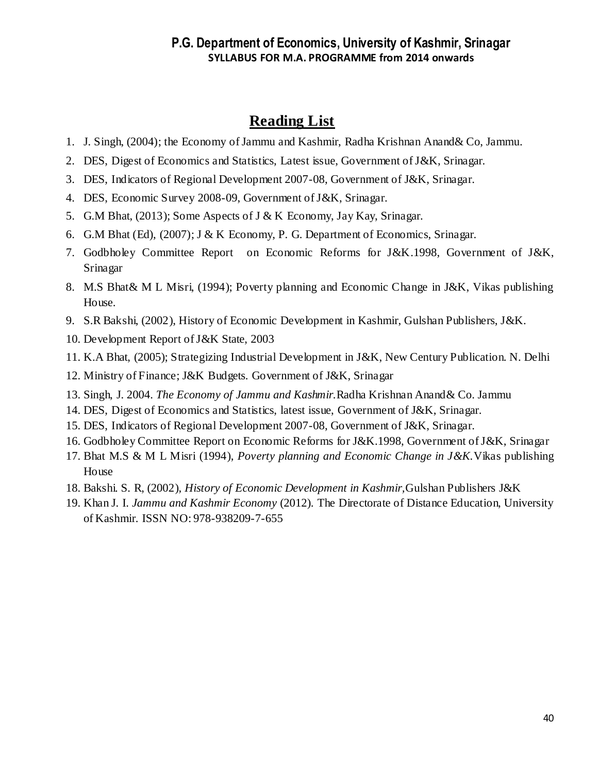- 1. J. Singh, (2004); the Economy of Jammu and Kashmir, Radha Krishnan Anand& Co, Jammu.
- 2. DES, Digest of Economics and Statistics, Latest issue, Government of J&K, Srinagar.
- 3. DES, Indicators of Regional Development 2007-08, Government of J&K, Srinagar.
- 4. DES, Economic Survey 2008-09, Government of J&K, Srinagar.
- 5. G.M Bhat, (2013); Some Aspects of J & K Economy, Jay Kay, Srinagar.
- 6. G.M Bhat (Ed), (2007); J & K Economy, P. G. Department of Economics, Srinagar.
- 7. Godbholey Committee Report on Economic Reforms for J&K.1998, Government of J&K, Srinagar
- 8. M.S Bhat& M L Misri, (1994); Poverty planning and Economic Change in J&K, Vikas publishing House.
- 9. S.R Bakshi, (2002), History of Economic Development in Kashmir, Gulshan Publishers, J&K.
- 10. Development Report of J&K State, 2003
- 11. K.A Bhat, (2005); Strategizing Industrial Development in J&K, New Century Publication. N. Delhi
- 12. Ministry of Finance; J&K Budgets. Government of J&K, Srinagar
- 13. Singh, J. 2004. *The Economy of Jammu and Kashmir.*Radha Krishnan Anand& Co. Jammu
- 14. DES, Digest of Economics and Statistics, latest issue, Government of J&K, Srinagar.
- 15. DES, Indicators of Regional Development 2007-08, Government of J&K, Srinagar.
- 16. Godbholey Committee Report on Economic Reforms for J&K.1998, Government of J&K, Srinagar
- 17. Bhat M.S & M L Misri (1994), *Poverty planning and Economic Change in J&K.*Vikas publishing House
- 18. Bakshi. S. R, (2002), *History of Economic Development in Kashmir,*Gulshan Publishers J&K
- 19. Khan J. I. *Jammu and Kashmir Economy* (2012). The Directorate of Distance Education, University of Kashmir. ISSN NO: 978-938209-7-655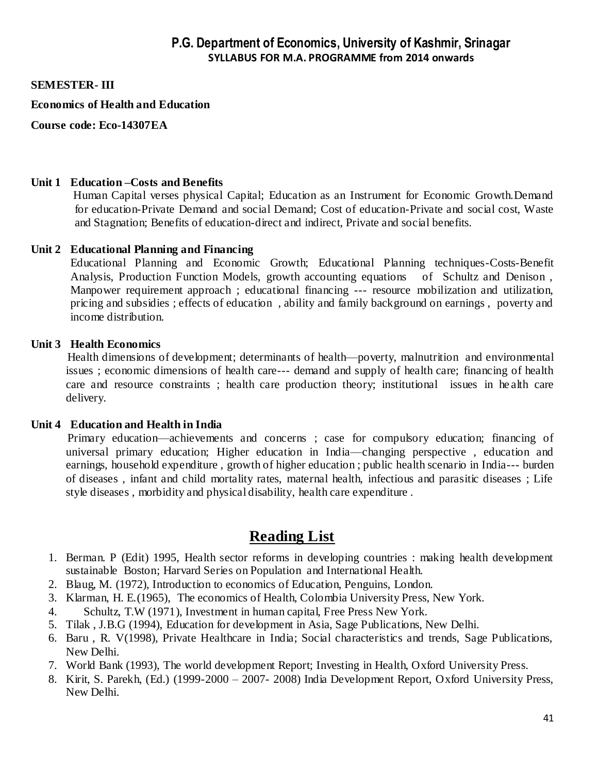#### **SEMESTER- III**

#### **Economics of Health and Education**

**Course code: Eco-14307EA**

#### **Unit 1 Education –Costs and Benefits**

 Human Capital verses physical Capital; Education as an Instrument for Economic Growth.Demand for education-Private Demand and social Demand; Cost of education-Private and social cost, Waste and Stagnation; Benefits of education-direct and indirect, Private and social benefits.

#### **Unit 2 Educational Planning and Financing**

Educational Planning and Economic Growth; Educational Planning techniques-Costs-Benefit Analysis, Production Function Models, growth accounting equations of Schultz and Denison , Manpower requirement approach ; educational financing --- resource mobilization and utilization, pricing and subsidies ; effects of education , ability and family background on earnings , poverty and income distribution.

#### **Unit 3 Health Economics**

 Health dimensions of development; determinants of health—poverty, malnutrition and environmental issues ; economic dimensions of health care--- demand and supply of health care; financing of health care and resource constraints ; health care production theory; institutional issues in he alth care delivery.

#### **Unit 4 Education and Health in India**

 Primary education—achievements and concerns ; case for compulsory education; financing of universal primary education; Higher education in India—changing perspective , education and earnings, household expenditure , growth of higher education ; public health scenario in India--- burden of diseases , infant and child mortality rates, maternal health, infectious and parasitic diseases ; Life style diseases , morbidity and physical disability, health care expenditure .

- 1. Berman. P (Edit) 1995, Health sector reforms in developing countries : making health development sustainable Boston; Harvard Series on Population and International Health.
- 2. Blaug, M. (1972), Introduction to economics of Education, Penguins, London.
- 3. Klarman, H. E.(1965), The economics of Health, Colombia University Press, New York.
- 4. Schultz, T.W (1971), Investment in human capital, Free Press New York.
- 5. Tilak , J.B.G (1994), Education for development in Asia, Sage Publications, New Delhi.
- 6. Baru , R. V(1998), Private Healthcare in India; Social characteristics and trends, Sage Publications, New Delhi.
- 7. World Bank (1993), The world development Report; Investing in Health, Oxford University Press.
- 8. Kirit, S. Parekh, (Ed.) (1999-2000 2007- 2008) India Development Report, Oxford University Press, New Delhi.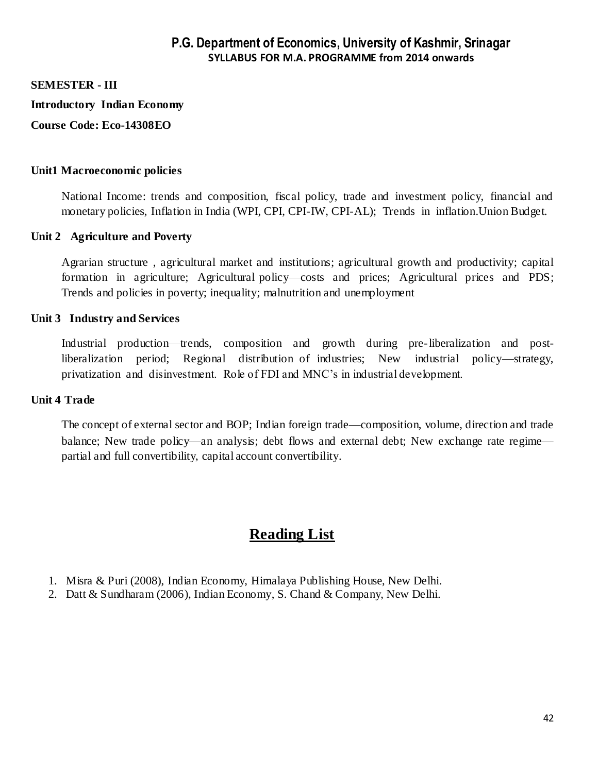#### **SEMESTER - III**

**Introductory Indian Economy**

**Course Code: Eco-14308EO**

#### **Unit1 Macroeconomic policies**

National Income: trends and composition, fiscal policy, trade and investment policy, financial and monetary policies, Inflation in India (WPI, CPI, CPI-IW, CPI-AL); Trends in inflation.Union Budget.

#### **Unit 2 Agriculture and Poverty**

Agrarian structure , agricultural market and institutions; agricultural growth and productivity; capital formation in agriculture; Agricultural policy—costs and prices; Agricultural prices and PDS; Trends and policies in poverty; inequality; malnutrition and unemployment

#### **Unit 3 Industry and Services**

Industrial production—trends, composition and growth during pre-liberalization and postliberalization period; Regional distribution of industries; New industrial policy—strategy, privatization and disinvestment. Role of FDI and MNC's in industrial development.

#### **Unit 4 Trade**

The concept of external sector and BOP; Indian foreign trade—composition, volume, direction and trade balance; New trade policy—an analysis; debt flows and external debt; New exchange rate regime partial and full convertibility, capital account convertibility.

- 1. Misra & Puri (2008), Indian Economy, Himalaya Publishing House, New Delhi.
- 2. Datt & Sundharam (2006), Indian Economy, S. Chand & Company, New Delhi.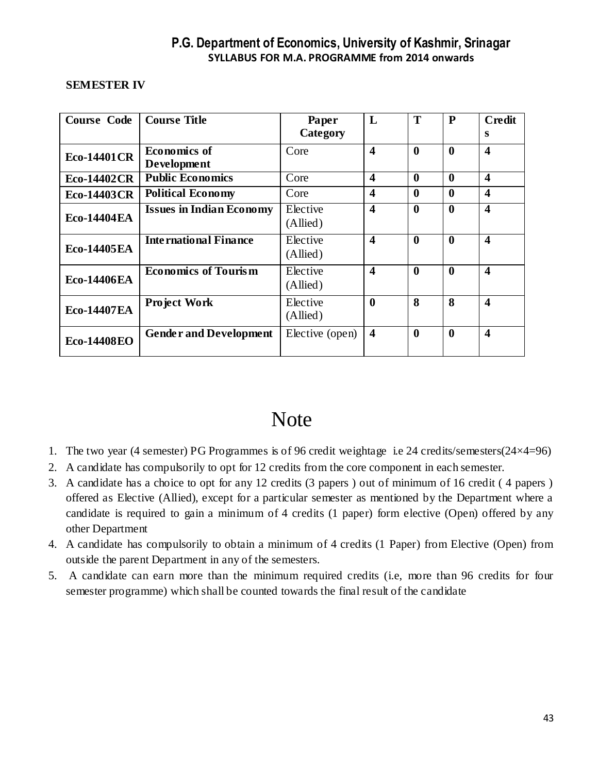#### **SEMESTER IV**

| <b>Course Code</b> | <b>Course Title</b>             | Paper                | L                       | T                | P                | <b>Credit</b>           |
|--------------------|---------------------------------|----------------------|-------------------------|------------------|------------------|-------------------------|
|                    |                                 | Category             |                         |                  |                  | S                       |
| <b>Eco-14401CR</b> | <b>Economics of</b>             | Core                 | $\overline{\mathbf{4}}$ | $\boldsymbol{0}$ | $\boldsymbol{0}$ | $\overline{\mathbf{4}}$ |
|                    | <b>Development</b>              |                      |                         |                  |                  |                         |
| <b>Eco-14402CR</b> | <b>Public Economics</b>         | Core                 | $\overline{\mathbf{4}}$ | $\boldsymbol{0}$ | $\mathbf{0}$     | $\boldsymbol{4}$        |
| <b>Eco-14403CR</b> | <b>Political Economy</b>        | Core                 | $\overline{\mathbf{4}}$ | $\bf{0}$         | 0                | 4                       |
| <b>Eco-14404EA</b> | <b>Issues in Indian Economy</b> | Elective<br>(Allied) | $\overline{\mathbf{4}}$ | $\boldsymbol{0}$ | $\boldsymbol{0}$ | $\boldsymbol{4}$        |
| <b>Eco-14405EA</b> | <b>International Finance</b>    | Elective<br>(Allied) | $\overline{\mathbf{4}}$ | $\boldsymbol{0}$ | $\boldsymbol{0}$ | $\boldsymbol{4}$        |
| <b>Eco-14406EA</b> | <b>Economics of Tourism</b>     | Elective<br>(Allied) | 4                       | $\boldsymbol{0}$ | $\bf{0}$         | 4                       |
| <b>Eco-14407EA</b> | <b>Project Work</b>             | Elective<br>(Allied) | $\boldsymbol{0}$        | 8                | 8                | $\boldsymbol{4}$        |
| <b>Eco-14408EO</b> | <b>Gender and Development</b>   | Elective (open)      | $\overline{\mathbf{4}}$ | $\boldsymbol{0}$ | $\boldsymbol{0}$ | $\overline{\mathbf{4}}$ |

# Note

- 1. The two year (4 semester) PG Programmes is of 96 credit weightage i.e 24 credits/semesters(24×4=96)
- 2. A candidate has compulsorily to opt for 12 credits from the core component in each semester.
- 3. A candidate has a choice to opt for any 12 credits (3 papers ) out of minimum of 16 credit ( 4 papers ) offered as Elective (Allied), except for a particular semester as mentioned by the Department where a candidate is required to gain a minimum of 4 credits (1 paper) form elective (Open) offered by any other Department
- 4. A candidate has compulsorily to obtain a minimum of 4 credits (1 Paper) from Elective (Open) from outside the parent Department in any of the semesters.
- 5. A candidate can earn more than the minimum required credits (i.e, more than 96 credits for four semester programme) which shall be counted towards the final result of the candidate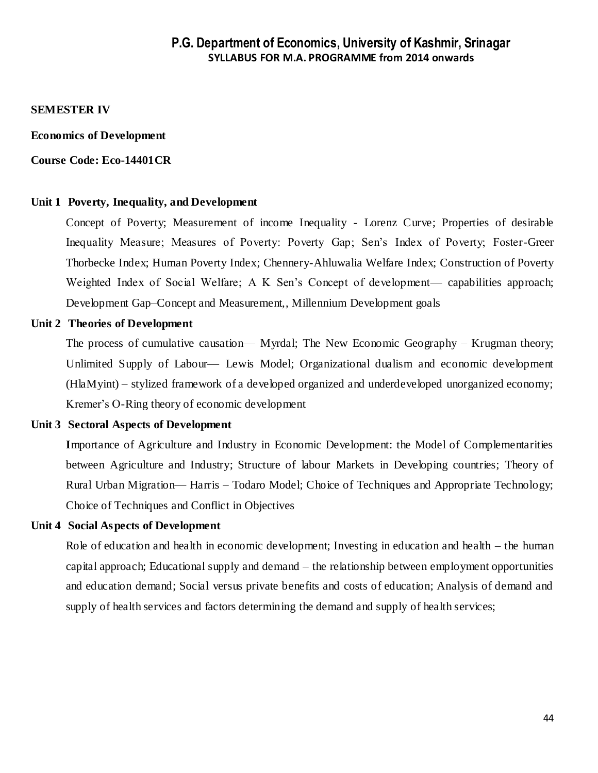#### **SEMESTER IV**

#### **Economics of Development**

#### **Course Code: Eco-14401CR**

#### **Unit 1 Poverty, Inequality, and Development**

Concept of Poverty; Measurement of income Inequality - Lorenz Curve; Properties of desirable Inequality Measure; Measures of Poverty: Poverty Gap; Sen's Index of Poverty; Foster-Greer Thorbecke Index; Human Poverty Index; Chennery-Ahluwalia Welfare Index; Construction of Poverty Weighted Index of Social Welfare; A K Sen's Concept of development— capabilities approach; Development Gap–Concept and Measurement,, Millennium Development goals

#### **Unit 2 Theories of Development**

The process of cumulative causation— Myrdal; The New Economic Geography – Krugman theory; Unlimited Supply of Labour— Lewis Model; Organizational dualism and economic development (HlaMyint) – stylized framework of a developed organized and underdeveloped unorganized economy; Kremer's O-Ring theory of economic development

#### **Unit 3 Sectoral Aspects of Development**

**I**mportance of Agriculture and Industry in Economic Development: the Model of Complementarities between Agriculture and Industry; Structure of labour Markets in Developing countries; Theory of Rural Urban Migration— Harris – Todaro Model; Choice of Techniques and Appropriate Technology; Choice of Techniques and Conflict in Objectives

#### **Unit 4 Social Aspects of Development**

Role of education and health in economic development; Investing in education and health – the human capital approach; Educational supply and demand – the relationship between employment opportunities and education demand; Social versus private benefits and costs of education; Analysis of demand and supply of health services and factors determining the demand and supply of health services;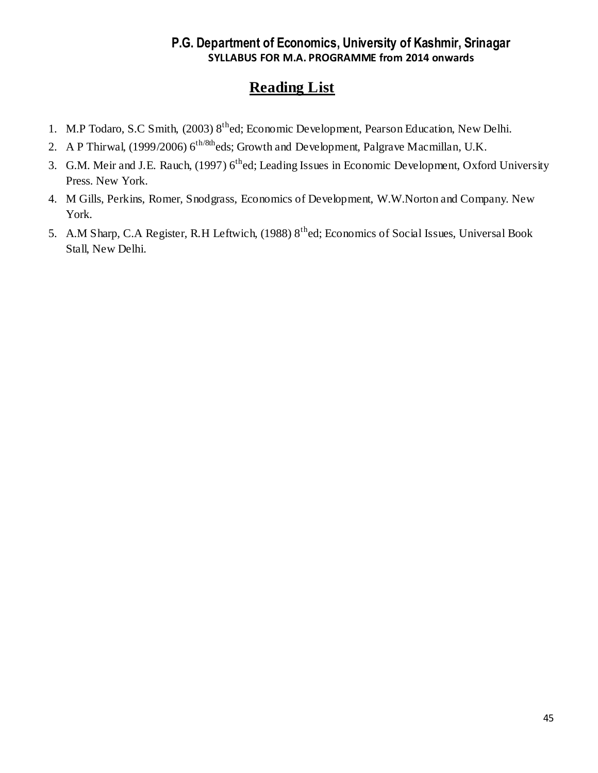- 1. M.P Todaro, S.C Smith, (2003) 8<sup>th</sup>ed; Economic Development, Pearson Education, New Delhi.
- 2. A P Thirwal, (1999/2006)  $6^{th/8th}$ eds; Growth and Development, Palgrave Macmillan, U.K.
- 3. G.M. Meir and J.E. Rauch, (1997) 6<sup>th</sup>ed; Leading Issues in Economic Development, Oxford University Press. New York.
- 4. M Gills, Perkins, Romer, Snodgrass, Economics of Development, W.W.Norton and Company. New York.
- 5. A.M Sharp, C.A Register, R.H Leftwich, (1988) 8<sup>th</sup>ed; Economics of Social Issues, Universal Book Stall, New Delhi.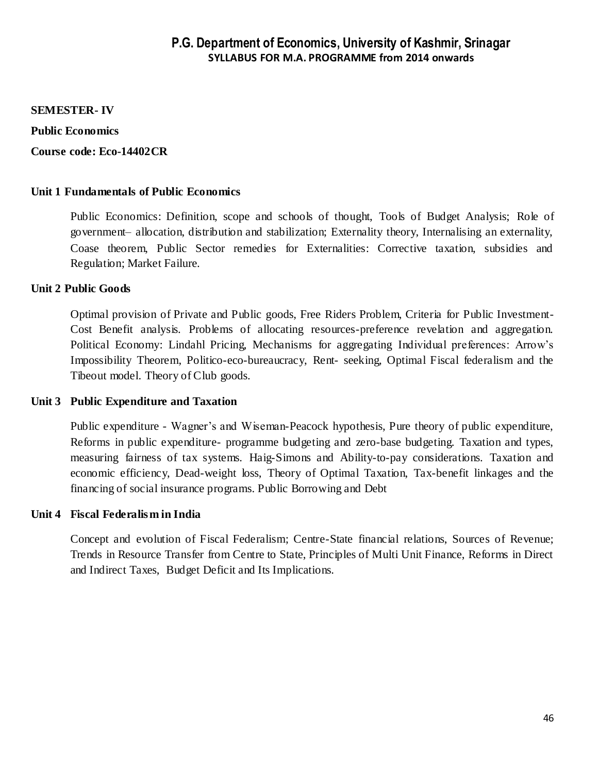#### **SEMESTER- IV**

#### **Public Economics**

#### **Course code: Eco-14402CR**

#### **Unit 1 Fundamentals of Public Economics**

Public Economics: Definition, scope and schools of thought, Tools of Budget Analysis; Role of government– allocation, distribution and stabilization; Externality theory, Internalising an externality, Coase theorem, Public Sector remedies for Externalities: Corrective taxation, subsidies and Regulation; Market Failure.

#### **Unit 2 Public Goods**

Optimal provision of Private and Public goods, Free Riders Problem, Criteria for Public Investment-Cost Benefit analysis. Problems of allocating resources-preference revelation and aggregation. Political Economy: Lindahl Pricing, Mechanisms for aggregating Individual preferences: Arrow's Impossibility Theorem, Politico-eco-bureaucracy, Rent- seeking, Optimal Fiscal federalism and the Tibeout model. Theory of Club goods.

#### **Unit 3 Public Expenditure and Taxation**

Public expenditure - Wagner's and Wiseman-Peacock hypothesis, Pure theory of public expenditure, Reforms in public expenditure- programme budgeting and zero-base budgeting. Taxation and types, measuring fairness of tax systems. Haig-Simons and Ability-to-pay considerations. Taxation and economic efficiency, Dead-weight loss, Theory of Optimal Taxation, Tax-benefit linkages and the financing of social insurance programs. Public Borrowing and Debt

#### **Unit 4 Fiscal Federalism in India**

Concept and evolution of Fiscal Federalism; Centre-State financial relations, Sources of Revenue; Trends in Resource Transfer from Centre to State, Principles of Multi Unit Finance, Reforms in Direct and Indirect Taxes, Budget Deficit and Its Implications.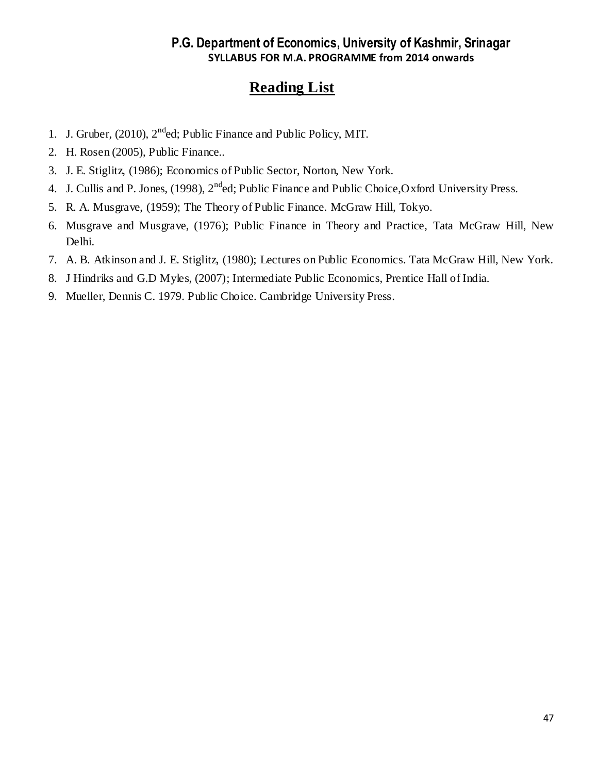- 1. J. Gruber, (2010),  $2^{nd}$ ed; Public Finance and Public Policy, MIT.
- 2. H. Rosen (2005), Public Finance..
- 3. J. E. Stiglitz, (1986); Economics of Public Sector, Norton, New York.
- 4. J. Cullis and P. Jones, (1998), 2<sup>nd</sup>ed; Public Finance and Public Choice, Oxford University Press.
- 5. R. A. Musgrave, (1959); The Theory of Public Finance. McGraw Hill, Tokyo.
- 6. Musgrave and Musgrave, (1976); Public Finance in Theory and Practice, Tata McGraw Hill, New Delhi.
- 7. A. B. Atkinson and J. E. Stiglitz, (1980); Lectures on Public Economics. Tata McGraw Hill, New York.
- 8. J Hindriks and G.D Myles, (2007); Intermediate Public Economics, Prentice Hall of India.
- 9. Mueller, Dennis C. 1979. Public Choice. Cambridge University Press.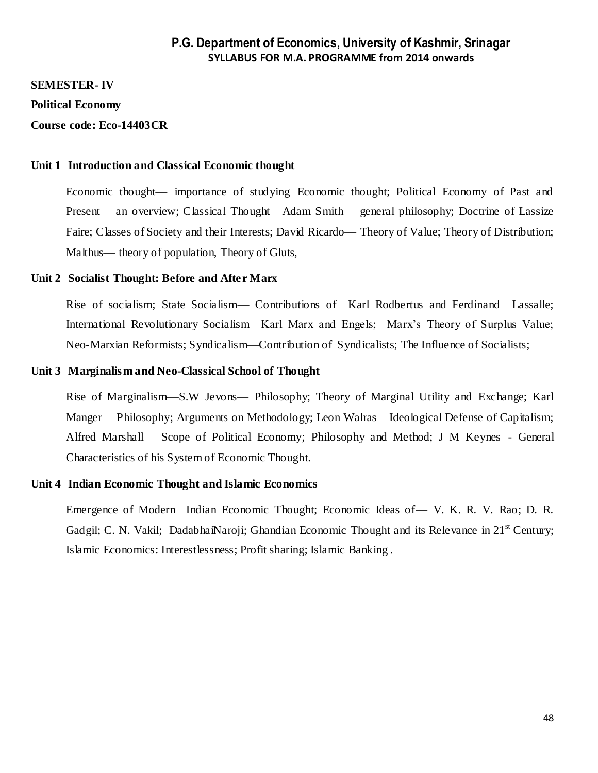#### **SEMESTER- IV**

#### **Political Economy**

#### **Course code: Eco-14403CR**

#### **Unit 1 Introduction and Classical Economic thought**

Economic thought— importance of studying Economic thought; Political Economy of Past and Present— an overview; Classical Thought—Adam Smith— general philosophy; Doctrine of Lassize Faire; Classes of Society and their Interests; David Ricardo— Theory of Value; Theory of Distribution; Malthus— theory of population, Theory of Gluts,

#### **Unit 2 Socialist Thought: Before and After Marx**

Rise of socialism; State Socialism— Contributions of Karl Rodbertus and Ferdinand Lassalle; International Revolutionary Socialism—Karl Marx and Engels; Marx's Theory of Surplus Value; Neo-Marxian Reformists; Syndicalism—Contribution of Syndicalists; The Influence of Socialists;

#### **Unit 3 Marginalism and Neo-Classical School of Thought**

Rise of Marginalism—S.W Jevons— Philosophy; Theory of Marginal Utility and Exchange; Karl Manger— Philosophy; Arguments on Methodology; Leon Walras—Ideological Defense of Capitalism; Alfred Marshall— Scope of Political Economy; Philosophy and Method; J M Keynes - General Characteristics of his System of Economic Thought.

#### **Unit 4 Indian Economic Thought and Islamic Economics**

Emergence of Modern Indian Economic Thought; Economic Ideas of— V. K. R. V. Rao; D. R. Gadgil; C. N. Vakil; DadabhaiNaroji; Ghandian Economic Thought and its Relevance in 21<sup>st</sup> Century; Islamic Economics: Interestlessness; Profit sharing; Islamic Banking .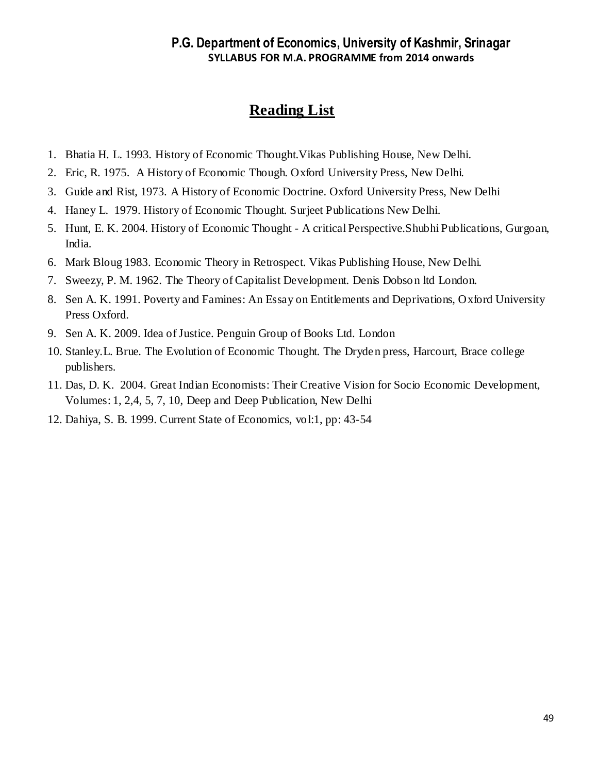- 1. Bhatia H. L. 1993. History of Economic Thought.Vikas Publishing House, New Delhi.
- 2. Eric, R. 1975. A History of Economic Though. Oxford University Press, New Delhi.
- 3. Guide and Rist, 1973. A History of Economic Doctrine. Oxford University Press, New Delhi
- 4. Haney L. 1979. History of Economic Thought. Surjeet Publications New Delhi.
- 5. Hunt, E. K. 2004. History of Economic Thought A critical Perspective.Shubhi Publications, Gurgoan, India.
- 6. Mark Bloug 1983. Economic Theory in Retrospect. Vikas Publishing House, New Delhi.
- 7. Sweezy, P. M. 1962. The Theory of Capitalist Development. Denis Dobson ltd London.
- 8. Sen A. K. 1991. Poverty and Famines: An Essay on Entitlements and Deprivations, Oxford University Press Oxford.
- 9. Sen A. K. 2009. Idea of Justice. Penguin Group of Books Ltd. London
- 10. Stanley.L. Brue. The Evolution of Economic Thought. The Dryden press, Harcourt, Brace college publishers.
- 11. Das, D. K. 2004. Great Indian Economists: Their Creative Vision for Socio Economic Development, Volumes: 1, 2,4, 5, 7, 10, Deep and Deep Publication, New Delhi
- 12. Dahiya, S. B. 1999. Current State of Economics, vol:1, pp: 43-54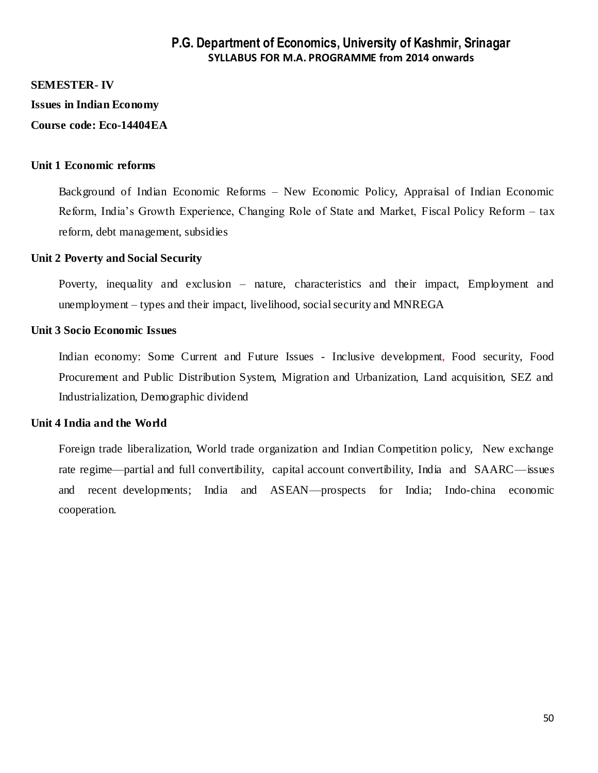#### **SEMESTER- IV**

**Issues in Indian Economy**

#### **Course code: Eco-14404EA**

#### **Unit 1 Economic reforms**

Background of Indian Economic Reforms – New Economic Policy, Appraisal of Indian Economic Reform, India's Growth Experience, Changing Role of State and Market, Fiscal Policy Reform – tax reform, debt management, subsidies

#### **Unit 2 Poverty and Social Security**

Poverty, inequality and exclusion – nature, characteristics and their impact, Employment and unemployment – types and their impact, livelihood, social security and MNREGA

#### **Unit 3 Socio Economic Issues**

Indian economy: Some Current and Future Issues - Inclusive development, Food security, Food Procurement and Public Distribution System, Migration and Urbanization, Land acquisition, SEZ and Industrialization, Demographic dividend

#### **Unit 4 India and the World**

Foreign trade liberalization, World trade organization and Indian Competition policy, New exchange rate regime—partial and full convertibility, capital account convertibility, India and SAARC—issues and recent developments; India and ASEAN—prospects for India; Indo-china economic cooperation.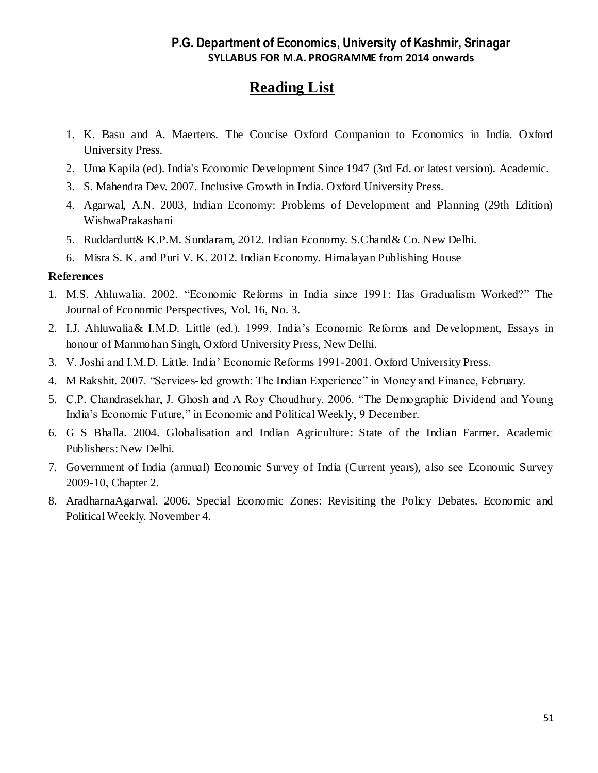## **Reading List**

- 1. K. Basu and A. Maertens. The Concise Oxford Companion to Economics in India. Oxford University Press.
- 2. Uma Kapila (ed). India's Economic Development Since 1947 (3rd Ed. or latest version). Academic.
- 3. S. Mahendra Dev. 2007. Inclusive Growth in India. Oxford University Press.
- 4. Agarwal, A.N. 2003, Indian Economy: Problems of Development and Planning (29th Edition) WishwaPrakashani
- 5. Ruddardutt& K.P.M. Sundaram, 2012. Indian Economy. S.Chand& Co. New Delhi.
- 6. Misra S. K. and Puri V. K. 2012. Indian Economy. Himalayan Publishing House

### **References**

- 1. M.S. Ahluwalia. 2002. "Economic Reforms in India since 1991: Has Gradualism Worked?" The Journal of Economic Perspectives, Vol. 16, No. 3.
- 2. I.J. Ahluwalia& I.M.D. Little (ed.). 1999. India's Economic Reforms and Development, Essays in honour of Manmohan Singh, Oxford University Press, New Delhi.
- 3. V. Joshi and I.M.D. Little. India' Economic Reforms 1991-2001. Oxford University Press.
- 4. M Rakshit. 2007. "Services-led growth: The Indian Experience" in Money and Finance, February.
- 5. C.P. Chandrasekhar, J. Ghosh and A Roy Choudhury. 2006. "The Demographic Dividend and Young India's Economic Future," in Economic and Political Weekly, 9 December.
- 6. G S Bhalla. 2004. Globalisation and Indian Agriculture: State of the Indian Farmer. Academic Publishers: New Delhi.
- 7. Government of India (annual) Economic Survey of India (Current years), also see Economic Survey 2009-10, Chapter 2.
- 8. AradharnaAgarwal. 2006. Special Economic Zones: Revisiting the Policy Debates. Economic and Political Weekly. November 4.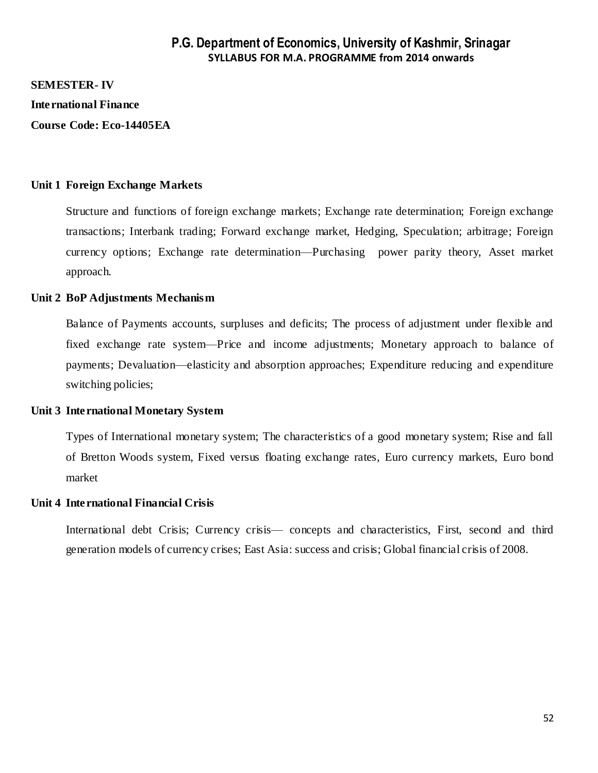#### **SEMESTER- IV**

#### **International Finance**

**Course Code: Eco-14405EA**

#### **Unit 1 Foreign Exchange Markets**

Structure and functions of foreign exchange markets; Exchange rate determination; Foreign exchange transactions; Interbank trading; Forward exchange market, Hedging, Speculation; arbitrage; Foreign currency options; Exchange rate determination—Purchasing power parity theory, Asset market approach.

#### **Unit 2 BoP Adjustments Mechanism**

Balance of Payments accounts, surpluses and deficits; The process of adjustment under flexible and fixed exchange rate system—Price and income adjustments; Monetary approach to balance of payments; Devaluation—elasticity and absorption approaches; Expenditure reducing and expenditure switching policies;

#### **Unit 3 International Monetary System**

Types of International monetary system; The characteristics of a good monetary system; Rise and fall of Bretton Woods system, Fixed versus floating exchange rates, Euro currency markets, Euro bond market

#### **Unit 4 International Financial Crisis**

International debt Crisis; Currency crisis— concepts and characteristics, First, second and third generation models of currency crises; East Asia: success and crisis; Global financial crisis of 2008.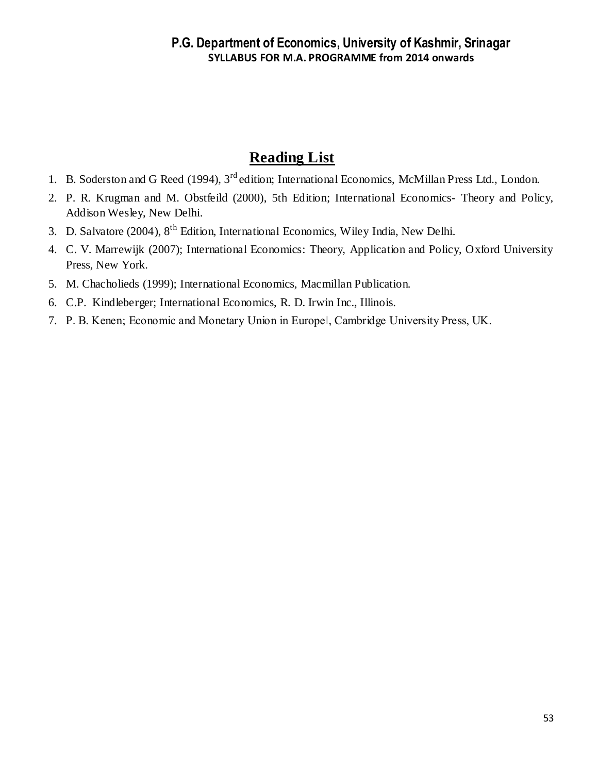- 1. B. Soderston and G Reed (1994), 3<sup>rd</sup> edition; International Economics, McMillan Press Ltd., London.
- 2. P. R. Krugman and M. Obstfeild (2000), 5th Edition; International Economics- Theory and Policy, Addison Wesley, New Delhi.
- 3. D. Salvatore (2004), 8th Edition, International Economics, Wiley India, New Delhi.
- 4. C. V. Marrewijk (2007); International Economics: Theory, Application and Policy, Oxford University Press, New York.
- 5. M. Chacholieds (1999); International Economics, Macmillan Publication.
- 6. C.P. Kindleberger; International Economics, R. D. Irwin Inc., Illinois.
- 7. P. B. Kenen; Economic and Monetary Union in Europe‖, Cambridge University Press, UK.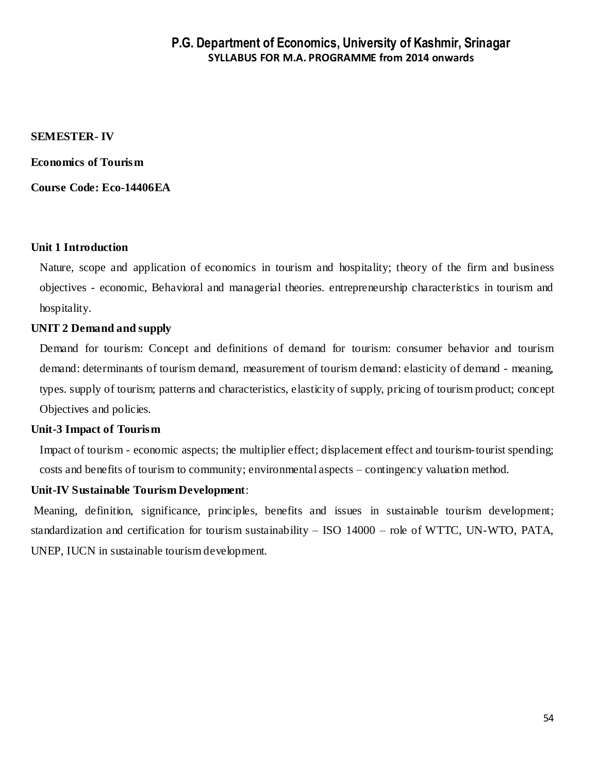#### **SEMESTER- IV**

**Economics of Tourism** 

**Course Code: Eco-14406EA**

#### **Unit 1 Introduction**

Nature, scope and application of economics in tourism and hospitality; theory of the firm and business objectives - economic, Behavioral and managerial theories. entrepreneurship characteristics in tourism and hospitality.

#### **UNIT 2 Demand and supply**

Demand for tourism: Concept and definitions of demand for tourism: consumer behavior and tourism demand: determinants of tourism demand, measurement of tourism demand: elasticity of demand - meaning, types. supply of tourism; patterns and characteristics, elasticity of supply, pricing of tourism product; concept Objectives and policies.

#### **Unit-3 Impact of Tourism**

Impact of tourism - economic aspects; the multiplier effect; displacement effect and tourism-tourist spending; costs and benefits of tourism to community; environmental aspects – contingency valuation method.

#### **Unit-IV Sustainable Tourism Development**:

Meaning, definition, significance, principles, benefits and issues in sustainable tourism development; standardization and certification for tourism sustainability – ISO 14000 – role of WTTC, UN-WTO, PATA, UNEP, IUCN in sustainable tourism development.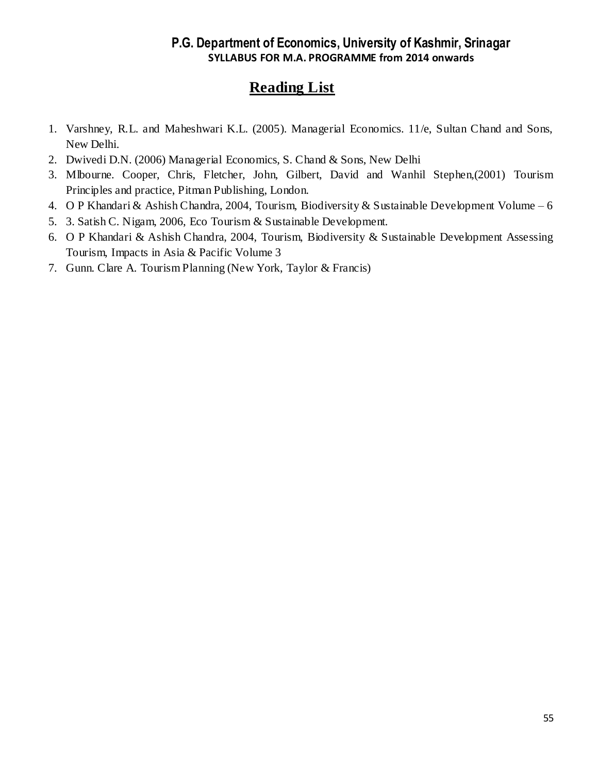- 1. Varshney, R.L. and Maheshwari K.L. (2005). Managerial Economics. 11/e, Sultan Chand and Sons, New Delhi.
- 2. Dwivedi D.N. (2006) Managerial Economics, S. Chand & Sons, New Delhi
- 3. Mlbourne. Cooper, Chris, Fletcher, John, Gilbert, David and Wanhil Stephen,(2001) Tourism Principles and practice, Pitman Publishing, London.
- 4. O P Khandari & Ashish Chandra, 2004, Tourism, Biodiversity & Sustainable Development Volume 6
- 5. 3. Satish C. Nigam, 2006, Eco Tourism & Sustainable Development.
- 6. O P Khandari & Ashish Chandra, 2004, Tourism, Biodiversity & Sustainable Development Assessing Tourism, Impacts in Asia & Pacific Volume 3
- 7. Gunn. Clare A. Tourism Planning (New York, Taylor & Francis)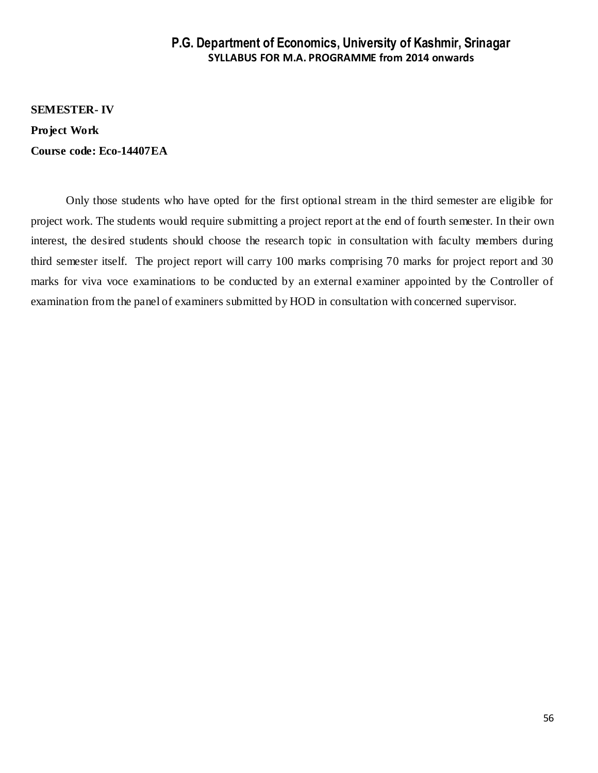**SEMESTER- IV Project Work Course code: Eco-14407EA**

Only those students who have opted for the first optional stream in the third semester are eligible for project work. The students would require submitting a project report at the end of fourth semester. In their own interest, the desired students should choose the research topic in consultation with faculty members during third semester itself. The project report will carry 100 marks comprising 70 marks for project report and 30 marks for viva voce examinations to be conducted by an external examiner appointed by the Controller of examination from the panel of examiners submitted by HOD in consultation with concerned supervisor.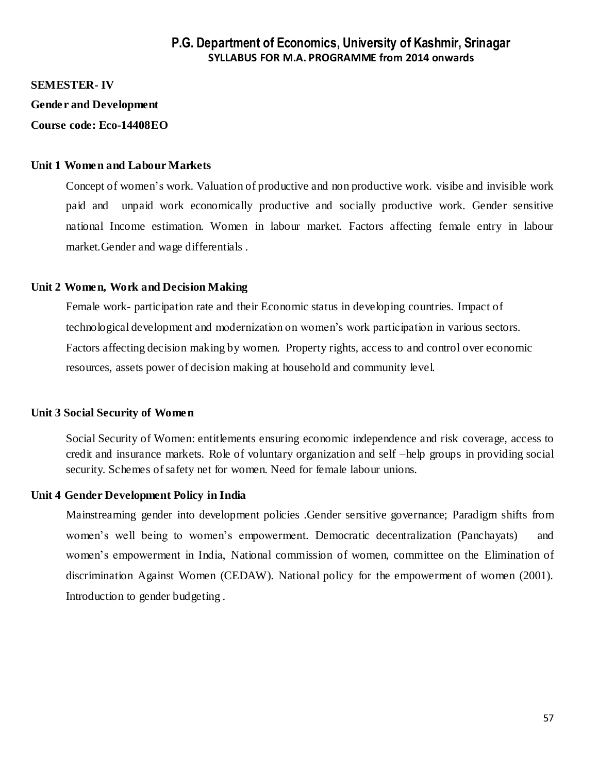**SEMESTER- IV** 

**Gender and Development**

**Course code: Eco-14408EO**

#### **Unit 1 Women and Labour Markets**

Concept of women's work. Valuation of productive and non productive work. visibe and invisible work paid and unpaid work economically productive and socially productive work. Gender sensitive national Income estimation. Women in labour market. Factors affecting female entry in labour market.Gender and wage differentials .

#### **Unit 2 Women, Work and Decision Making**

Female work- participation rate and their Economic status in developing countries. Impact of technological development and modernization on women's work participation in various sectors. Factors affecting decision making by women. Property rights, access to and control over economic resources, assets power of decision making at household and community level.

#### **Unit 3 Social Security of Women**

Social Security of Women: entitlements ensuring economic independence and risk coverage, access to credit and insurance markets. Role of voluntary organization and self –help groups in providing social security. Schemes of safety net for women. Need for female labour unions.

#### **Unit 4 Gender Development Policy in India**

Mainstreaming gender into development policies .Gender sensitive governance; Paradigm shifts from women's well being to women's empowerment. Democratic decentralization (Panchayats) and women's empowerment in India, National commission of women, committee on the Elimination of discrimination Against Women (CEDAW). National policy for the empowerment of women (2001). Introduction to gender budgeting .